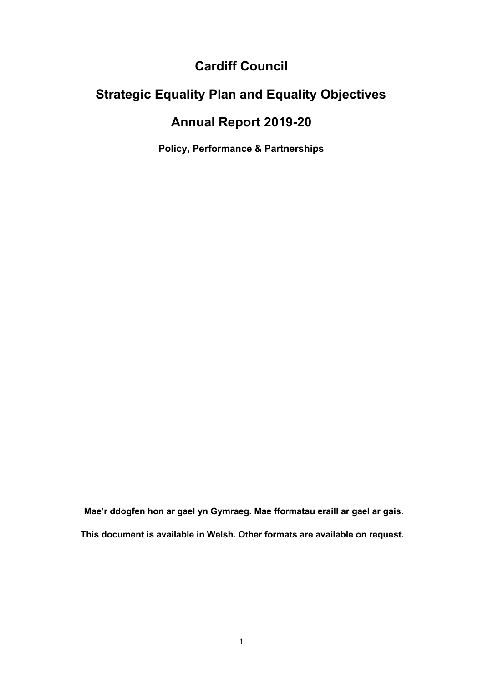### **Cardiff Council**

## **Strategic Equality Plan and Equality Objectives**

### **Annual Report 2019-20**

**Policy, Performance & Partnerships** 

**Mae'r ddogfen hon ar gael yn Gymraeg. Mae fformatau eraill ar gael ar gais. This document is available in Welsh. Other formats are available on request.**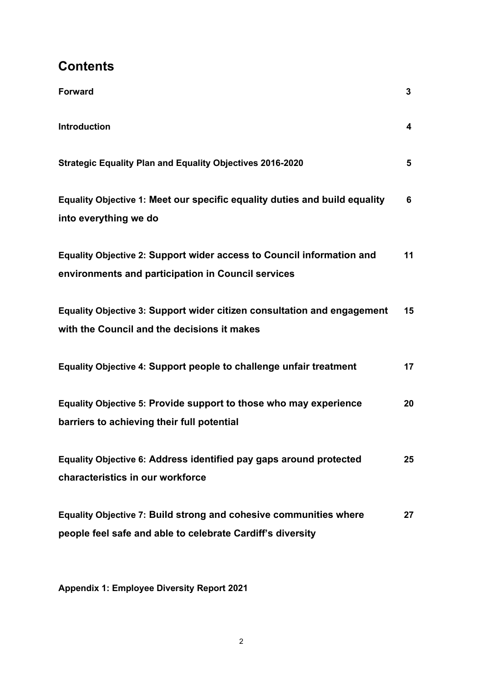### **Contents**

| <b>Forward</b>                                                                                                                         | 3                       |
|----------------------------------------------------------------------------------------------------------------------------------------|-------------------------|
| <b>Introduction</b>                                                                                                                    | $\overline{\mathbf{4}}$ |
| <b>Strategic Equality Plan and Equality Objectives 2016-2020</b>                                                                       | 5                       |
| Equality Objective 1: Meet our specific equality duties and build equality<br>into everything we do                                    | 6                       |
| Equality Objective 2: Support wider access to Council information and<br>environments and participation in Council services            | 11                      |
| Equality Objective 3: Support wider citizen consultation and engagement<br>with the Council and the decisions it makes                 | 15                      |
| Equality Objective 4: Support people to challenge unfair treatment                                                                     | 17                      |
| Equality Objective 5: Provide support to those who may experience<br>barriers to achieving their full potential                        | 20                      |
| Equality Objective 6: Address identified pay gaps around protected<br>characteristics in our workforce                                 | 25                      |
| <b>Equality Objective 7: Build strong and cohesive communities where</b><br>people feel safe and able to celebrate Cardiff's diversity | 27                      |

**Appendix 1: Employee Diversity Report 2021**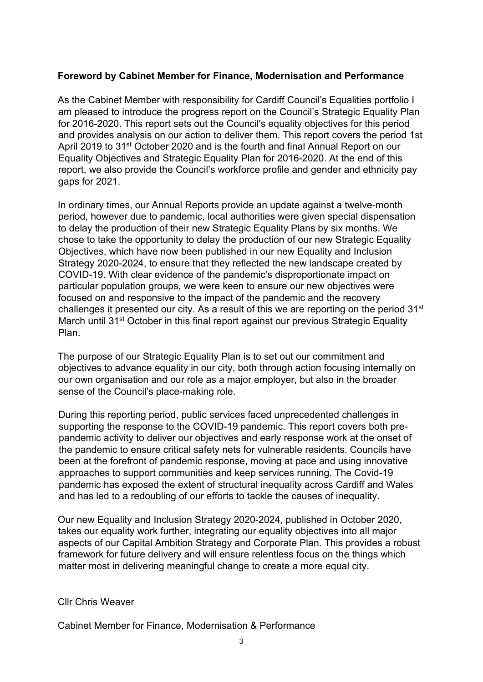#### **Foreword by Cabinet Member for Finance, Modernisation and Performance**

As the Cabinet Member with responsibility for Cardiff Council's Equalities portfolio I am pleased to introduce the progress report on the Council's Strategic Equality Plan for 2016-2020. This report sets out the Council's equality objectives for this period and provides analysis on our action to deliver them. This report covers the period 1st April 2019 to 31<sup>st</sup> October 2020 and is the fourth and final Annual Report on our Equality Objectives and Strategic Equality Plan for 2016-2020. At the end of this report, we also provide the Council's workforce profile and gender and ethnicity pay gaps for 2021.

In ordinary times, our Annual Reports provide an update against a twelve-month period, however due to pandemic, local authorities were given special dispensation to delay the production of their new Strategic Equality Plans by six months. We chose to take the opportunity to delay the production of our new Strategic Equality Objectives, which have now been published in our new [Equality and Inclusion](https://www.cardiff.gov.uk/ENG/Your-Council/Strategies-plans-and-policies/Equality-diversity-and-cohesion/Strategic-Equality-Plan-and-Policies/Documents/Equality%20Inclusion%20Strategy%202020%202024.pdf)  [Strategy 2020-2024,](https://www.cardiff.gov.uk/ENG/Your-Council/Strategies-plans-and-policies/Equality-diversity-and-cohesion/Strategic-Equality-Plan-and-Policies/Documents/Equality%20Inclusion%20Strategy%202020%202024.pdf) to ensure that they reflected the new landscape created by COVID-19. With clear evidence of the pandemic's disproportionate impact on particular population groups, we were keen to ensure our new objectives were focused on and responsive to the impact of the pandemic and the recovery challenges it presented our city. As a result of this we are reporting on the period 31<sup>st</sup> March until 31<sup>st</sup> October in this final report against our previous Strategic Equality Plan.

The purpose of our Strategic Equality Plan is to set out our commitment and objectives to advance equality in our city, both through action focusing internally on our own organisation and our role as a major employer, but also in the broader sense of the Council's place-making role.

During this reporting period, public services faced unprecedented challenges in supporting the response to the COVID-19 pandemic. This report covers both prepandemic activity to deliver our objectives and early response work at the onset of the pandemic to ensure critical safety nets for vulnerable residents. Councils have been at the forefront of pandemic response, moving at pace and using innovative approaches to support communities and keep services running. The Covid-19 pandemic has exposed the extent of structural inequality across Cardiff and Wales and has led to a redoubling of our efforts to tackle the causes of inequality.

Our new Equality and Inclusion Strategy 2020-2024, published in October 2020, takes our equality work further, integrating our equality objectives into all major aspects of our Capital Ambition Strategy and Corporate Plan. This provides a robust framework for future delivery and will ensure relentless focus on the things which matter most in delivering meaningful change to create a more equal city.

#### Cllr Chris Weaver

Cabinet Member for Finance, Modernisation & Performance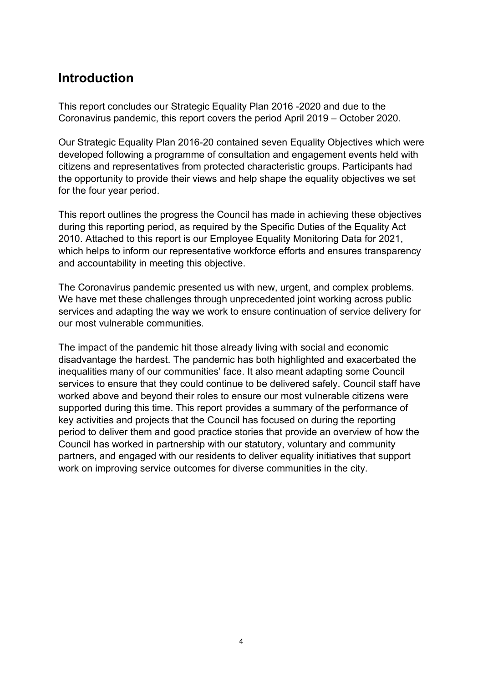### **Introduction**

This report concludes our Strategic Equality Plan 2016 -2020 and due to the Coronavirus pandemic, this report covers the period April 2019 – October 2020.

Our Strategic Equality Plan 2016-20 contained seven Equality Objectives which were developed following a programme of consultation and engagement events held with citizens and representatives from protected characteristic groups. Participants had the opportunity to provide their views and help shape the equality objectives we set for the four year period.

This report outlines the progress the Council has made in achieving these objectives during this reporting period, as required by the Specific Duties of the Equality Act 2010. Attached to this report is our Employee Equality Monitoring Data for 2021, which helps to inform our representative workforce efforts and ensures transparency and accountability in meeting this objective.

The Coronavirus pandemic presented us with new, urgent, and complex problems. We have met these challenges through unprecedented joint working across public services and adapting the way we work to ensure continuation of service delivery for our most vulnerable communities.

The impact of the pandemic hit those already living with social and economic disadvantage the hardest. The pandemic has both highlighted and exacerbated the inequalities many of our communities' face. It also meant adapting some Council services to ensure that they could continue to be delivered safely. Council staff have worked above and beyond their roles to ensure our most vulnerable citizens were supported during this time. This report provides a summary of the performance of key activities and projects that the Council has focused on during the reporting period to deliver them and good practice stories that provide an overview of how the Council has worked in partnership with our statutory, voluntary and community partners, and engaged with our residents to deliver equality initiatives that support work on improving service outcomes for diverse communities in the city.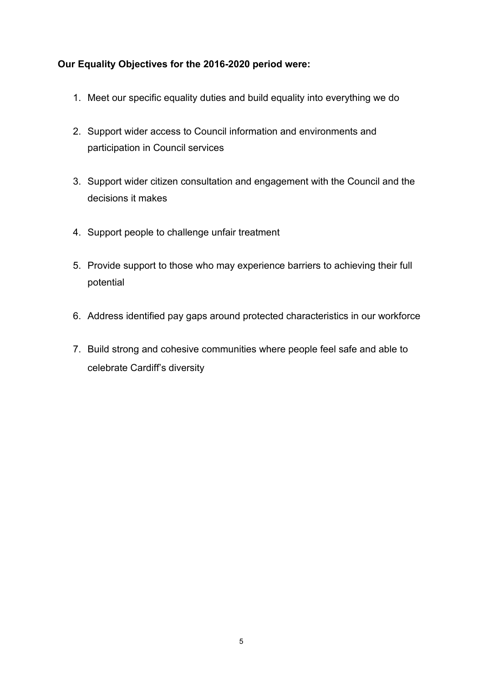#### **Our Equality Objectives for the 2016-2020 period were:**

- 1. Meet our specific equality duties and build equality into everything we do
- 2. Support wider access to Council information and environments and participation in Council services
- 3. Support wider citizen consultation and engagement with the Council and the decisions it makes
- 4. Support people to challenge unfair treatment
- 5. Provide support to those who may experience barriers to achieving their full potential
- 6. Address identified pay gaps around protected characteristics in our workforce
- 7. Build strong and cohesive communities where people feel safe and able to celebrate Cardiff's diversity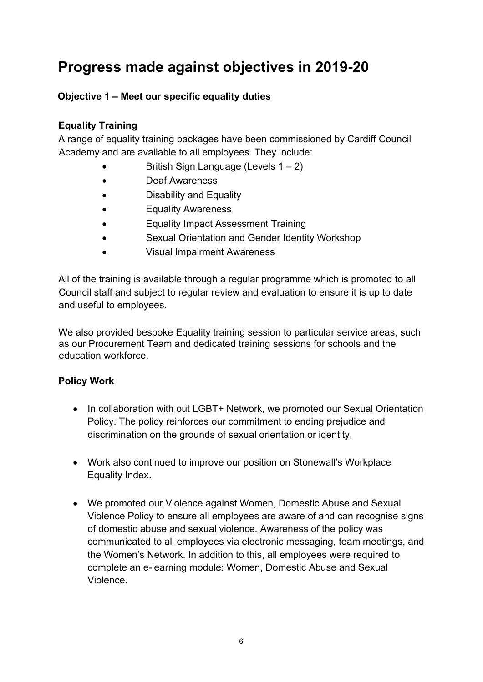## **Progress made against objectives in 2019-20**

#### **Objective 1 – Meet our specific equality duties**

#### **Equality Training**

A range of equality training packages have been commissioned by Cardiff Council Academy and are available to all employees. They include:

- British Sign Language (Levels  $1 2$ )
- Deaf Awareness
- Disability and Equality
- Equality Awareness
- Equality Impact Assessment Training
- Sexual Orientation and Gender Identity Workshop
- Visual Impairment Awareness

All of the training is available through a regular programme which is promoted to all Council staff and subject to regular review and evaluation to ensure it is up to date and useful to employees.

We also provided bespoke Equality training session to particular service areas, such as our Procurement Team and dedicated training sessions for schools and the education workforce.

#### **Policy Work**

- In collaboration with out LGBT+ Network, we promoted our Sexual Orientation Policy. The policy reinforces our commitment to ending prejudice and discrimination on the grounds of sexual orientation or identity.
- Work also continued to improve our position on Stonewall's Workplace Equality Index.
- We promoted our Violence against Women, Domestic Abuse and Sexual Violence Policy to ensure all employees are aware of and can recognise signs of domestic abuse and sexual violence. Awareness of the policy was communicated to all employees via electronic messaging, team meetings, and the Women's Network. In addition to this, all employees were required to complete an e-learning module: Women, Domestic Abuse and Sexual Violence.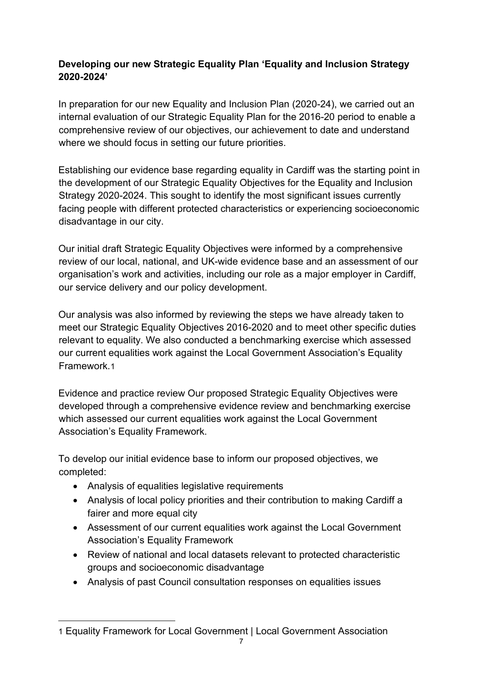#### **Developing our new Strategic Equality Plan 'Equality and Inclusion Strategy 2020-2024'**

In preparation for our new Equality and Inclusion Plan (2020-24), we carried out an internal evaluation of our Strategic Equality Plan for the 2016-20 period to enable a comprehensive review of our objectives, our achievement to date and understand where we should focus in setting our future priorities.

Establishing our evidence base regarding equality in Cardiff was the starting point in the development of our Strategic Equality Objectives for the Equality and Inclusion Strategy 2020-2024. This sought to identify the most significant issues currently facing people with different protected characteristics or experiencing socioeconomic disadvantage in our city.

Our initial draft Strategic Equality Objectives were informed by a comprehensive review of our local, national, and UK-wide evidence base and an assessment of our organisation's work and activities, including our role as a major employer in Cardiff, our service delivery and our policy development.

Our analysis was also informed by reviewing the steps we have already taken to meet our Strategic Equality Objectives 2016-2020 and to meet other specific duties relevant to equality. We also conducted a benchmarking exercise which assessed our current equalities work against the Local Government Association's Equality Framework.[1](#page-6-0)

Evidence and practice review Our proposed Strategic Equality Objectives were developed through a comprehensive evidence review and benchmarking exercise which assessed our current equalities work against the Local Government Association's Equality Framework.

To develop our initial evidence base to inform our proposed objectives, we completed:

- Analysis of equalities legislative requirements
- Analysis of local policy priorities and their contribution to making Cardiff a fairer and more equal city
- Assessment of our current equalities work against the Local Government Association's Equality Framework
- Review of national and local datasets relevant to protected characteristic groups and socioeconomic disadvantage
- Analysis of past Council consultation responses on equalities issues

<span id="page-6-0"></span><sup>1</sup> [Equality Framework for Local Government | Local Government Association](https://www.local.gov.uk/our-support/guidance-and-resources/equality-frameworks/equality-framework-local-government)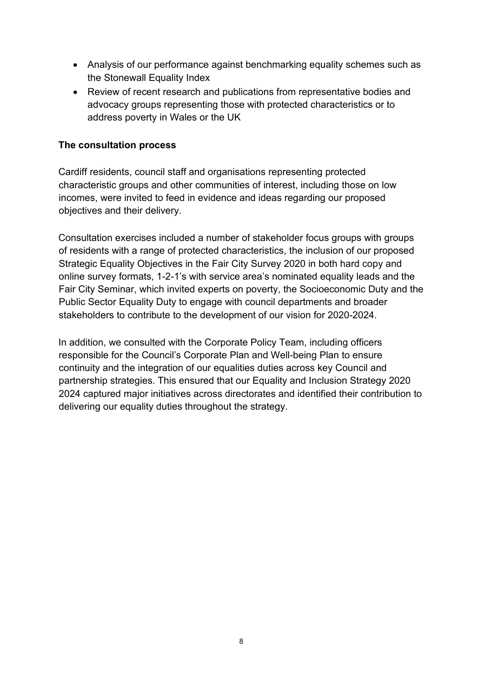- Analysis of our performance against benchmarking equality schemes such as the Stonewall Equality Index
- Review of recent research and publications from representative bodies and advocacy groups representing those with protected characteristics or to address poverty in Wales or the UK

#### **The consultation process**

Cardiff residents, council staff and organisations representing protected characteristic groups and other communities of interest, including those on low incomes, were invited to feed in evidence and ideas regarding our proposed objectives and their delivery.

Consultation exercises included a number of stakeholder focus groups with groups of residents with a range of protected characteristics, the inclusion of our proposed Strategic Equality Objectives in the Fair City Survey 2020 in both hard copy and online survey formats, 1-2-1's with service area's nominated equality leads and the Fair City Seminar, which invited experts on poverty, the Socioeconomic Duty and the Public Sector Equality Duty to engage with council departments and broader stakeholders to contribute to the development of our vision for 2020-2024.

In addition, we consulted with the Corporate Policy Team, including officers responsible for the Council's Corporate Plan and Well-being Plan to ensure continuity and the integration of our equalities duties across key Council and partnership strategies. This ensured that our Equality and Inclusion Strategy 2020 2024 captured major initiatives across directorates and identified their contribution to delivering our equality duties throughout the strategy.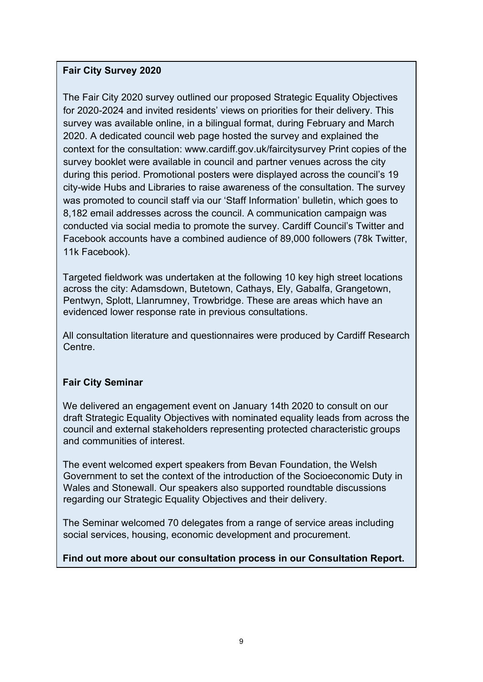#### **Fair City Survey 2020**

The Fair City 2020 survey outlined our proposed Strategic Equality Objectives for 2020-2024 and invited residents' views on priorities for their delivery. This survey was available online, in a bilingual format, during February and March 2020. A dedicated council web page hosted the survey and explained the context for the consultation: www.cardiff.gov.uk/faircitysurvey Print copies of the survey booklet were available in council and partner venues across the city during this period. Promotional posters were displayed across the council's 19 city-wide Hubs and Libraries to raise awareness of the consultation. The survey was promoted to council staff via our 'Staff Information' bulletin, which goes to 8,182 email addresses across the council. A communication campaign was conducted via social media to promote the survey. Cardiff Council's Twitter and Facebook accounts have a combined audience of 89,000 followers (78k Twitter, 11k Facebook).

Targeted fieldwork was undertaken at the following 10 key high street locations across the city: Adamsdown, Butetown, Cathays, Ely, Gabalfa, Grangetown, Pentwyn, Splott, Llanrumney, Trowbridge. These are areas which have an evidenced lower response rate in previous consultations.

All consultation literature and questionnaires were produced by Cardiff Research Centre.

#### **Fair City Seminar**

We delivered an engagement event on January 14th 2020 to consult on our draft Strategic Equality Objectives with nominated equality leads from across the council and external stakeholders representing protected characteristic groups and communities of interest.

The event welcomed expert speakers from Bevan Foundation, the Welsh Government to set the context of the introduction of the Socioeconomic Duty in Wales and Stonewall. Our speakers also supported roundtable discussions regarding our Strategic Equality Objectives and their delivery.

The Seminar welcomed 70 delegates from a range of service areas including social services, housing, economic development and procurement.

#### **Find out more about our consultation process in our [Consultation Report.](https://www.cardiff.gov.uk/ENG/Your-Council/Strategies-plans-and-policies/Equality-diversity-and-cohesion/Strategic-Equality-Plan-and-Policies/Documents/Eng%20Equality%20Inclusion%20Strat%202024%20Appendix%20A.pdf)**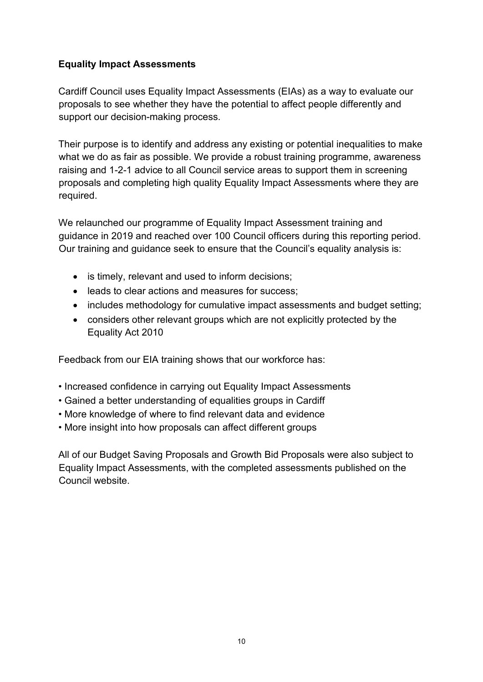#### **Equality Impact Assessments**

Cardiff Council uses Equality Impact Assessments (EIAs) as a way to evaluate our proposals to see whether they have the potential to affect people differently and support our decision-making process.

Their purpose is to identify and address any existing or potential inequalities to make what we do as fair as possible. We provide a robust training programme, awareness raising and 1-2-1 advice to all Council service areas to support them in screening proposals and completing high quality Equality Impact Assessments where they are required.

We relaunched our programme of Equality Impact Assessment training and guidance in 2019 and reached over 100 Council officers during this reporting period. Our training and guidance seek to ensure that the Council's equality analysis is:

- is timely, relevant and used to inform decisions;
- leads to clear actions and measures for success;
- includes methodology for cumulative impact assessments and budget setting;
- considers other relevant groups which are not explicitly protected by the Equality Act 2010

Feedback from our EIA training shows that our workforce has:

- Increased confidence in carrying out Equality Impact Assessments
- Gained a better understanding of equalities groups in Cardiff
- More knowledge of where to find relevant data and evidence
- More insight into how proposals can affect different groups

All of our Budget Saving Proposals and Growth Bid Proposals were also subject to Equality Impact Assessments, with the completed assessments published on the Council website.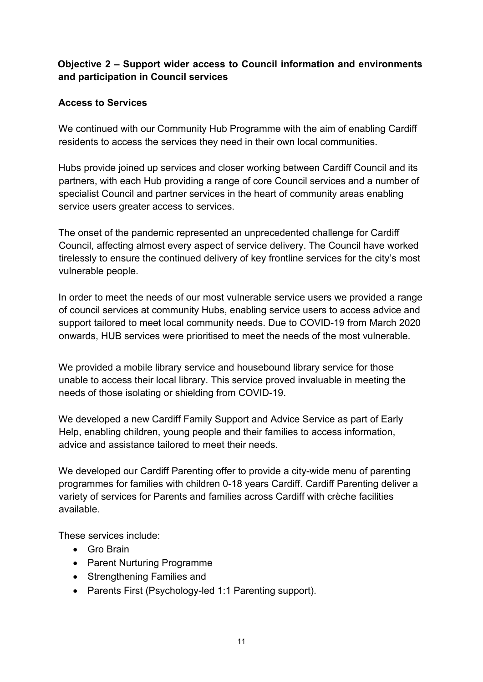#### **Objective 2 – Support wider access to Council information and environments and participation in Council services**

#### **Access to Services**

We continued with our Community Hub Programme with the aim of enabling Cardiff residents to access the services they need in their own local communities.

Hubs provide joined up services and closer working between Cardiff Council and its partners, with each Hub providing a range of core Council services and a number of specialist Council and partner services in the heart of community areas enabling service users greater access to services.

The onset of the pandemic represented an unprecedented challenge for Cardiff Council, affecting almost every aspect of service delivery. The Council have worked tirelessly to ensure the continued delivery of key frontline services for the city's most vulnerable people.

In order to meet the needs of our most vulnerable service users we provided a range of council services at community Hubs, enabling service users to access advice and support tailored to meet local community needs. Due to COVID-19 from March 2020 onwards, HUB services were prioritised to meet the needs of the most vulnerable.

We provided a mobile library service and housebound library service for those unable to access their local library. This service proved invaluable in meeting the needs of those isolating or shielding from COVID-19.

We developed a new Cardiff Family Support and Advice Service as part of Early Help, enabling children, young people and their families to access information, advice and assistance tailored to meet their needs.

We developed our Cardiff Parenting offer to provide a city-wide menu of parenting programmes for families with children 0-18 years Cardiff. Cardiff Parenting deliver a variety of services for Parents and families across Cardiff with crèche facilities available.

These services include:

- Gro Brain
- Parent Nurturing Programme
- Strengthening Families and
- Parents First (Psychology-led 1:1 Parenting support).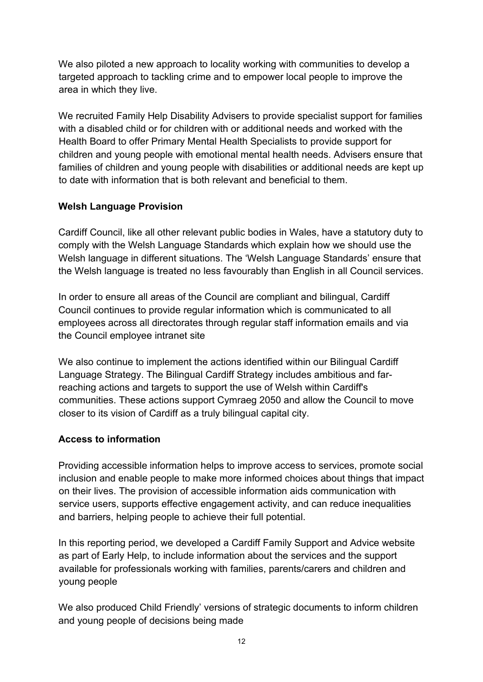We also piloted a new approach to locality working with communities to develop a targeted approach to tackling crime and to empower local people to improve the area in which they live.

We recruited Family Help Disability Advisers to provide specialist support for families with a disabled child or for children with or additional needs and worked with the Health Board to offer Primary Mental Health Specialists to provide support for children and young people with emotional mental health needs. Advisers ensure that families of children and young people with disabilities or additional needs are kept up to date with information that is both relevant and beneficial to them.

#### **Welsh Language Provision**

Cardiff Council, like all other relevant public bodies in Wales, have a statutory duty to comply with the Welsh Language Standards which explain how we should use the Welsh language in different situations. The 'Welsh Language Standards' ensure that the Welsh language is treated no less favourably than English in all Council services.

In order to ensure all areas of the Council are compliant and bilingual, Cardiff Council continues to provide regular information which is communicated to all employees across all directorates through regular staff information emails and via the Council employee intranet site

We also continue to implement the actions identified within our Bilingual Cardiff Language Strategy. The Bilingual Cardiff Strategy includes ambitious and farreaching actions and targets to support the use of Welsh within Cardiff's communities. These actions support Cymraeg 2050 and allow the Council to move closer to its vision of Cardiff as a truly bilingual capital city.

#### **Access to information**

Providing accessible information helps to improve access to services, promote social inclusion and enable people to make more informed choices about things that impact on their lives. The provision of accessible information aids communication with service users, supports effective engagement activity, and can reduce inequalities and barriers, helping people to achieve their full potential.

In this reporting period, we developed a Cardiff Family Support and Advice website as part of Early Help, to include information about the services and the support available for professionals working with families, parents/carers and children and young people

We also produced Child Friendly' versions of strategic documents to inform children and young people of decisions being made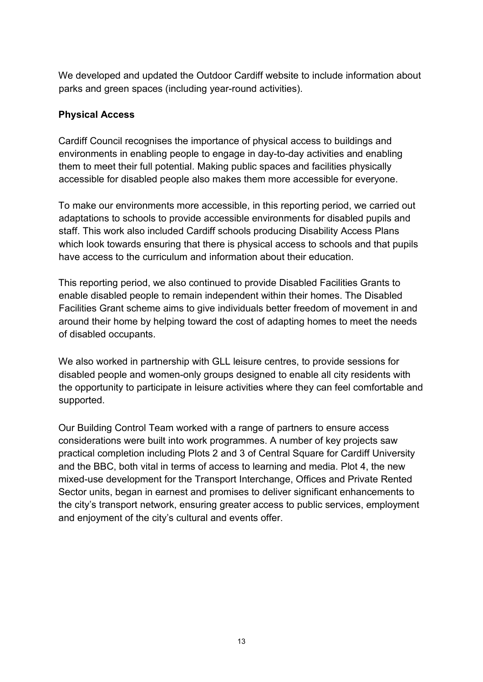We developed and updated the Outdoor Cardiff website to include information about parks and green spaces (including year-round activities).

#### **Physical Access**

Cardiff Council recognises the importance of physical access to buildings and environments in enabling people to engage in day-to-day activities and enabling them to meet their full potential. Making public spaces and facilities physically accessible for disabled people also makes them more accessible for everyone.

To make our environments more accessible, in this reporting period, we carried out adaptations to schools to provide accessible environments for disabled pupils and staff. This work also included Cardiff schools producing Disability Access Plans which look towards ensuring that there is physical access to schools and that pupils have access to the curriculum and information about their education.

This reporting period, we also continued to provide Disabled Facilities Grants to enable disabled people to remain independent within their homes. The Disabled Facilities Grant scheme aims to give individuals better freedom of movement in and around their home by helping toward the cost of adapting homes to meet the needs of disabled occupants.

We also worked in partnership with GLL leisure centres, to provide sessions for disabled people and women-only groups designed to enable all city residents with the opportunity to participate in leisure activities where they can feel comfortable and supported.

Our Building Control Team worked with a range of partners to ensure access considerations were built into work programmes. A number of key projects saw practical completion including Plots 2 and 3 of Central Square for Cardiff University and the BBC, both vital in terms of access to learning and media. Plot 4, the new mixed-use development for the Transport Interchange, Offices and Private Rented Sector units, began in earnest and promises to deliver significant enhancements to the city's transport network, ensuring greater access to public services, employment and enjoyment of the city's cultural and events offer.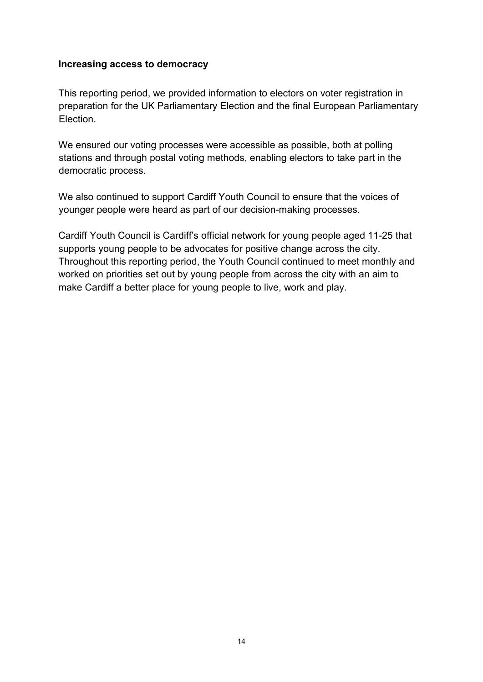#### **Increasing access to democracy**

This reporting period, we provided information to electors on voter registration in preparation for the UK Parliamentary Election and the final European Parliamentary Election.

We ensured our voting processes were accessible as possible, both at polling stations and through postal voting methods, enabling electors to take part in the democratic process.

We also continued to support Cardiff Youth Council to ensure that the voices of younger people were heard as part of our decision-making processes.

Cardiff Youth Council is Cardiff's official network for young people aged 11-25 that supports young people to be advocates for positive change across the city. Throughout this reporting period, the Youth Council continued to meet monthly and worked on priorities set out by young people from across the city with an aim to make Cardiff a better place for young people to live, work and play.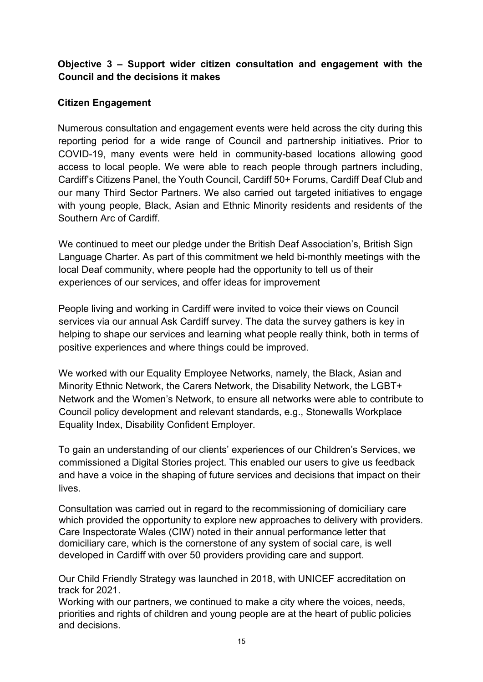#### **Objective 3 – Support wider citizen consultation and engagement with the Council and the decisions it makes**

#### **Citizen Engagement**

Numerous consultation and engagement events were held across the city during this reporting period for a wide range of Council and partnership initiatives. Prior to COVID-19, many events were held in community-based locations allowing good access to local people. We were able to reach people through partners including, Cardiff's Citizens Panel, the Youth Council, Cardiff 50+ Forums, Cardiff Deaf Club and our many Third Sector Partners. We also carried out targeted initiatives to engage with young people, Black, Asian and Ethnic Minority residents and residents of the Southern Arc of Cardiff.

We continued to meet our pledge under the British Deaf Association's, British Sign Language Charter. As part of this commitment we held bi-monthly meetings with the local Deaf community, where people had the opportunity to tell us of their experiences of our services, and offer ideas for improvement

People living and working in Cardiff were invited to voice their views on Council services via our annual Ask Cardiff survey. The data the survey gathers is key in helping to shape our services and learning what people really think, both in terms of positive experiences and where things could be improved.

We worked with our Equality Employee Networks, namely, the Black, Asian and Minority Ethnic Network, the Carers Network, the Disability Network, the LGBT+ Network and the Women's Network, to ensure all networks were able to contribute to Council policy development and relevant standards, e.g., Stonewalls Workplace Equality Index, Disability Confident Employer.

To gain an understanding of our clients' experiences of our Children's Services, we commissioned a Digital Stories project. This enabled our users to give us feedback and have a voice in the shaping of future services and decisions that impact on their lives.

Consultation was carried out in regard to the recommissioning of domiciliary care which provided the opportunity to explore new approaches to delivery with providers. Care Inspectorate Wales (CIW) noted in their annual performance letter that domiciliary care, which is the cornerstone of any system of social care, is well developed in Cardiff with over 50 providers providing care and support.

Our Child Friendly Strategy was launched in 2018, with UNICEF accreditation on track for 2021.

Working with our partners, we continued to make a city where the voices, needs, priorities and rights of children and young people are at the heart of public policies and decisions.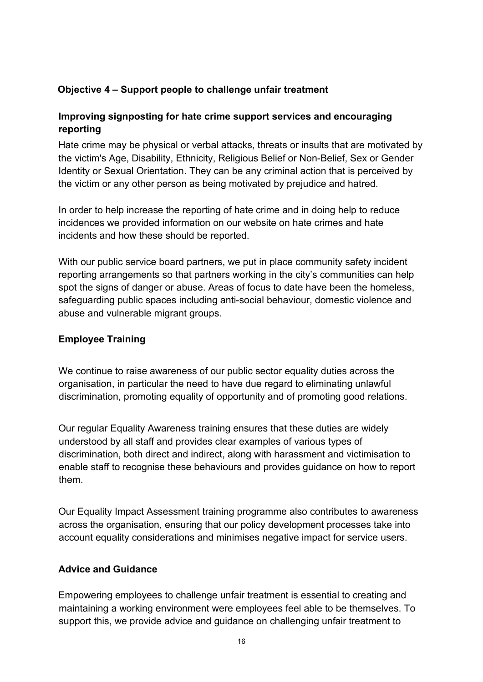#### **Objective 4 – Support people to challenge unfair treatment**

#### **Improving signposting for hate crime support services and encouraging reporting**

Hate crime may be physical or verbal attacks, threats or insults that are motivated by the victim's Age, Disability, Ethnicity, Religious Belief or Non-Belief, Sex or Gender Identity or Sexual Orientation. They can be any criminal action that is perceived by the victim or any other person as being motivated by prejudice and hatred.

In order to help increase the reporting of hate crime and in doing help to reduce incidences we provided information on our website on hate crimes and hate incidents and how these should be reported.

With our public service board partners, we put in place community safety incident reporting arrangements so that partners working in the city's communities can help spot the signs of danger or abuse. Areas of focus to date have been the homeless, safeguarding public spaces including anti-social behaviour, domestic violence and abuse and vulnerable migrant groups.

#### **Employee Training**

We continue to raise awareness of our public sector equality duties across the organisation, in particular the need to have due regard to eliminating unlawful discrimination, promoting equality of opportunity and of promoting good relations.

Our regular Equality Awareness training ensures that these duties are widely understood by all staff and provides clear examples of various types of discrimination, both direct and indirect, along with harassment and victimisation to enable staff to recognise these behaviours and provides guidance on how to report them.

Our Equality Impact Assessment training programme also contributes to awareness across the organisation, ensuring that our policy development processes take into account equality considerations and minimises negative impact for service users.

#### **Advice and Guidance**

Empowering employees to challenge unfair treatment is essential to creating and maintaining a working environment were employees feel able to be themselves. To support this, we provide advice and guidance on challenging unfair treatment to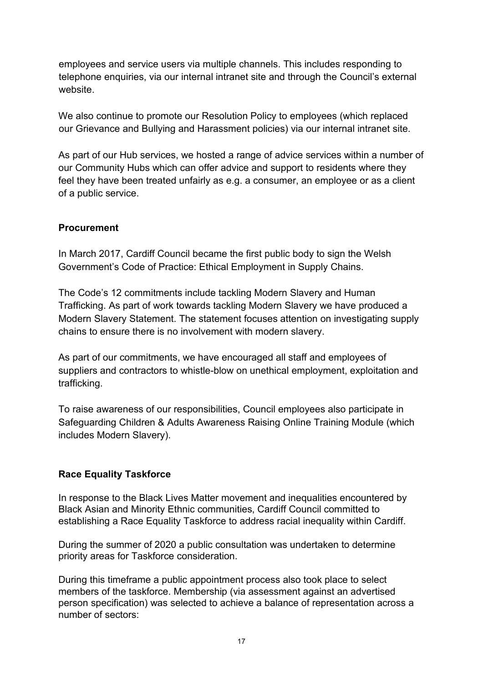employees and service users via multiple channels. This includes responding to telephone enquiries, via our internal intranet site and through the Council's external website.

We also continue to promote our Resolution Policy to employees (which replaced our Grievance and Bullying and Harassment policies) via our internal intranet site.

As part of our Hub services, we hosted a range of advice services within a number of our Community Hubs which can offer advice and support to residents where they feel they have been treated unfairly as e.g. a consumer, an employee or as a client of a public service.

#### **Procurement**

In March 2017, Cardiff Council became the first public body to sign the Welsh Government's Code of Practice: Ethical Employment in Supply Chains.

The Code's 12 commitments include tackling Modern Slavery and Human Trafficking. As part of work towards tackling Modern Slavery we have produced a Modern Slavery Statement. The statement focuses attention on investigating supply chains to ensure there is no involvement with modern slavery.

As part of our commitments, we have encouraged all staff and employees of suppliers and contractors to whistle-blow on unethical employment, exploitation and trafficking.

To raise awareness of our responsibilities, Council employees also participate in Safeguarding Children & Adults Awareness Raising Online Training Module (which includes Modern Slavery).

#### **Race Equality Taskforce**

In response to the Black Lives Matter movement and inequalities encountered by Black Asian and Minority Ethnic communities, Cardiff Council committed to establishing a Race Equality Taskforce to address racial inequality within Cardiff.

During the summer of 2020 a public consultation was undertaken to determine priority areas for Taskforce consideration.

During this timeframe a public appointment process also took place to select members of the taskforce. Membership (via assessment against an advertised person specification) was selected to achieve a balance of representation across a number of sectors: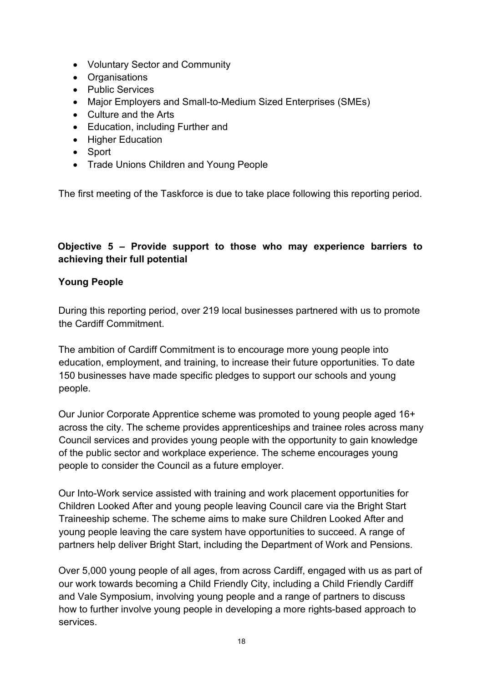- Voluntary Sector and Community
- Organisations
- Public Services
- Major Employers and Small-to-Medium Sized Enterprises (SMEs)
- Culture and the Arts
- Education, including Further and
- Higher Education
- Sport
- Trade Unions Children and Young People

The first meeting of the Taskforce is due to take place following this reporting period.

#### **Objective 5 – Provide support to those who may experience barriers to achieving their full potential**

#### **Young People**

During this reporting period, over 219 local businesses partnered with us to promote the Cardiff Commitment.

The ambition of Cardiff Commitment is to encourage more young people into education, employment, and training, to increase their future opportunities. To date 150 businesses have made specific pledges to support our schools and young people.

Our Junior Corporate Apprentice scheme was promoted to young people aged 16+ across the city. The scheme provides apprenticeships and trainee roles across many Council services and provides young people with the opportunity to gain knowledge of the public sector and workplace experience. The scheme encourages young people to consider the Council as a future employer.

Our Into-Work service assisted with training and work placement opportunities for Children Looked After and young people leaving Council care via the Bright Start Traineeship scheme. The scheme aims to make sure Children Looked After and young people leaving the care system have opportunities to succeed. A range of partners help deliver Bright Start, including the Department of Work and Pensions.

Over 5,000 young people of all ages, from across Cardiff, engaged with us as part of our work towards becoming a Child Friendly City, including a Child Friendly Cardiff and Vale Symposium, involving young people and a range of partners to discuss how to further involve young people in developing a more rights-based approach to services.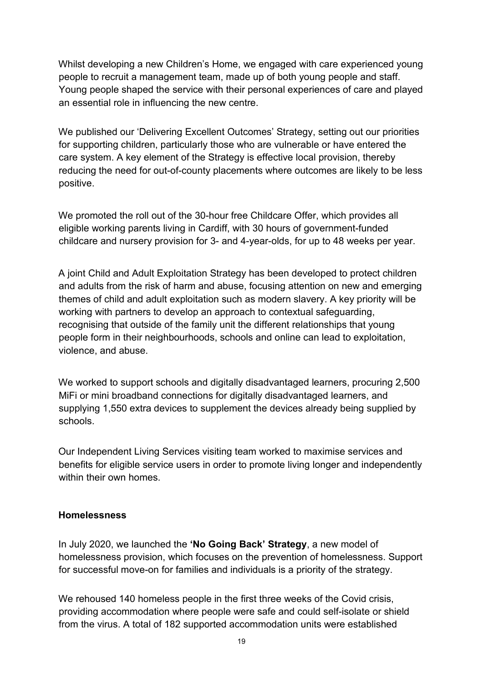Whilst developing a new Children's Home, we engaged with care experienced young people to recruit a management team, made up of both young people and staff. Young people shaped the service with their personal experiences of care and played an essential role in influencing the new centre.

We published our 'Delivering Excellent Outcomes' Strategy, setting out our priorities for supporting children, particularly those who are vulnerable or have entered the care system. A key element of the Strategy is effective local provision, thereby reducing the need for out-of-county placements where outcomes are likely to be less positive.

We promoted the roll out of the 30-hour free Childcare Offer, which provides all eligible working parents living in Cardiff, with 30 hours of government-funded childcare and nursery provision for 3- and 4-year-olds, for up to 48 weeks per year.

A joint Child and Adult Exploitation Strategy has been developed to protect children and adults from the risk of harm and abuse, focusing attention on new and emerging themes of child and adult exploitation such as modern slavery. A key priority will be working with partners to develop an approach to contextual safeguarding, recognising that outside of the family unit the different relationships that young people form in their neighbourhoods, schools and online can lead to exploitation, violence, and abuse.

We worked to support schools and digitally disadvantaged learners, procuring 2,500 MiFi or mini broadband connections for digitally disadvantaged learners, and supplying 1,550 extra devices to supplement the devices already being supplied by schools.

Our Independent Living Services visiting team worked to maximise services and benefits for eligible service users in order to promote living longer and independently within their own homes.

#### **Homelessness**

In July 2020, we launched the **'No Going Back' Strategy**, a new model of homelessness provision, which focuses on the prevention of homelessness. Support for successful move-on for families and individuals is a priority of the strategy.

We rehoused 140 homeless people in the first three weeks of the Covid crisis, providing accommodation where people were safe and could self-isolate or shield from the virus. A total of 182 supported accommodation units were established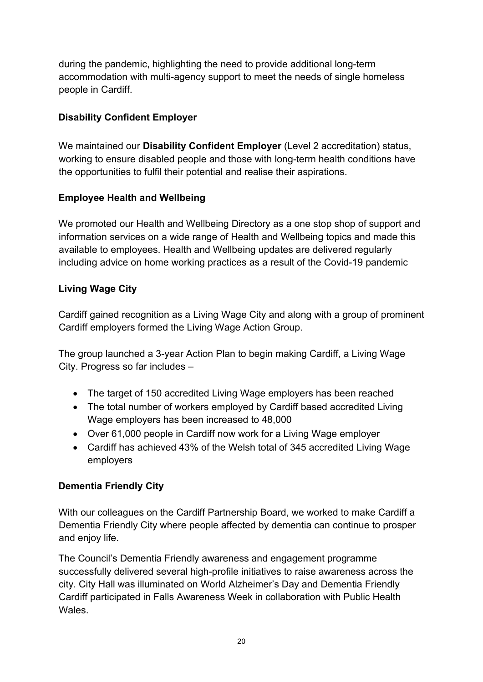during the pandemic, highlighting the need to provide additional long-term accommodation with multi-agency support to meet the needs of single homeless people in Cardiff.

#### **Disability Confident Employer**

We maintained our **Disability Confident Employer** (Level 2 accreditation) status, working to ensure disabled people and those with long-term health conditions have the opportunities to fulfil their potential and realise their aspirations.

#### **Employee Health and Wellbeing**

We promoted our Health and Wellbeing Directory as a one stop shop of support and information services on a wide range of Health and Wellbeing topics and made this available to employees. Health and Wellbeing updates are delivered regularly including advice on home working practices as a result of the Covid-19 pandemic

#### **Living Wage City**

Cardiff gained recognition as a Living Wage City and along with a group of prominent Cardiff employers formed the Living Wage Action Group.

The group launched a 3-year Action Plan to begin making Cardiff, a Living Wage City. Progress so far includes –

- The target of 150 accredited Living Wage employers has been reached
- The total number of workers employed by Cardiff based accredited Living Wage employers has been increased to 48,000
- Over 61,000 people in Cardiff now work for a Living Wage employer
- Cardiff has achieved 43% of the Welsh total of 345 accredited Living Wage employers

#### **Dementia Friendly City**

With our colleagues on the Cardiff Partnership Board, we worked to make Cardiff a Dementia Friendly City where people affected by dementia can continue to prosper and enjoy life.

The Council's Dementia Friendly awareness and engagement programme successfully delivered several high-profile initiatives to raise awareness across the city. City Hall was illuminated on World Alzheimer's Day and Dementia Friendly Cardiff participated in Falls Awareness Week in collaboration with Public Health Wales.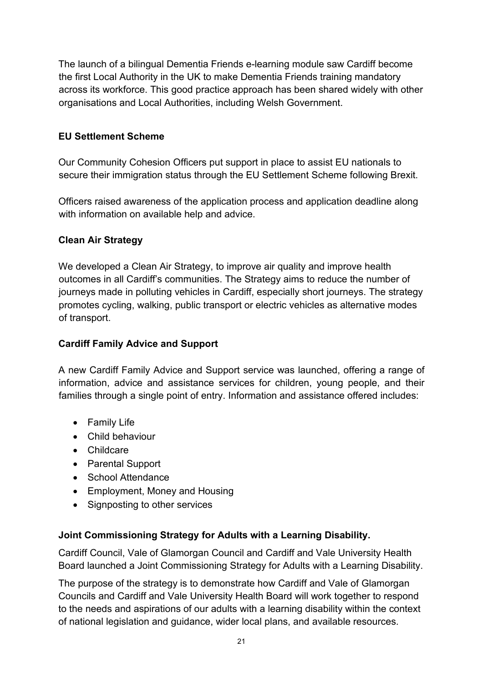The launch of a bilingual Dementia Friends e-learning module saw Cardiff become the first Local Authority in the UK to make Dementia Friends training mandatory across its workforce. This good practice approach has been shared widely with other organisations and Local Authorities, including Welsh Government.

#### **EU Settlement Scheme**

Our Community Cohesion Officers put support in place to assist EU nationals to secure their immigration status through the EU Settlement Scheme following Brexit.

Officers raised awareness of the application process and application deadline along with information on available help and advice.

#### **Clean Air Strategy**

We developed a Clean Air Strategy, to improve air quality and improve health outcomes in all Cardiff's communities. The Strategy aims to reduce the number of journeys made in polluting vehicles in Cardiff, especially short journeys. The strategy promotes cycling, walking, public transport or electric vehicles as alternative modes of transport.

#### **Cardiff Family Advice and Support**

A new Cardiff Family Advice and Support service was launched, offering a range of information, advice and assistance services for children, young people, and their families through a single point of entry. Information and assistance offered includes:

- Family Life
- Child behaviour
- Childcare
- Parental Support
- School Attendance
- Employment, Money and Housing
- Signposting to other services

#### **Joint Commissioning Strategy for Adults with a Learning Disability.**

Cardiff Council, Vale of Glamorgan Council and Cardiff and Vale University Health Board launched a Joint Commissioning Strategy for Adults with a Learning Disability.

The purpose of the strategy is to demonstrate how Cardiff and Vale of Glamorgan Councils and Cardiff and Vale University Health Board will work together to respond to the needs and aspirations of our adults with a learning disability within the context of national legislation and guidance, wider local plans, and available resources.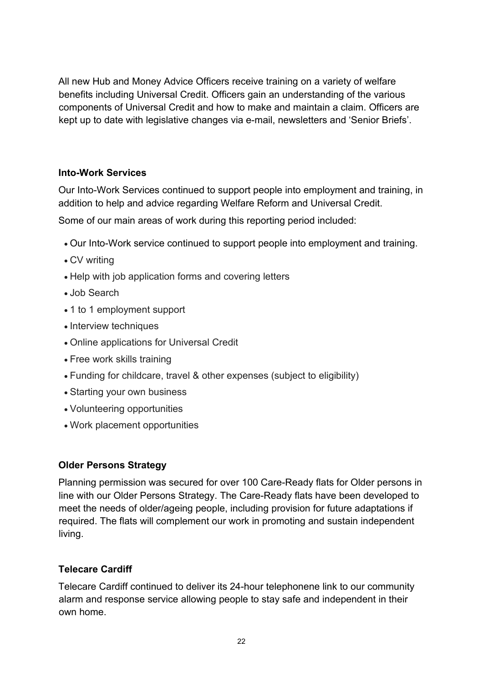All new Hub and Money Advice Officers receive training on a variety of welfare benefits including Universal Credit. Officers gain an understanding of the various components of Universal Credit and how to make and maintain a claim. Officers are kept up to date with legislative changes via e-mail, newsletters and 'Senior Briefs'.

#### **Into-Work Services**

Our Into-Work Services continued to support people into employment and training, in addition to help and advice regarding Welfare Reform and Universal Credit.

Some of our main areas of work during this reporting period included:

- Our Into-Work service continued to support people into employment and training.
- CV writing
- Help with job application forms and covering letters
- Job Search
- 1 to 1 employment support
- Interview techniques
- Online applications for Universal Credit
- Free work skills training
- Funding for childcare, travel & other expenses (subject to eligibility)
- Starting your own business
- Volunteering opportunities
- Work placement opportunities

#### **Older Persons Strategy**

Planning permission was secured for over 100 Care-Ready flats for Older persons in line with our Older Persons Strategy. The Care-Ready flats have been developed to meet the needs of older/ageing people, including provision for future adaptations if required. The flats will complement our work in promoting and sustain independent living.

#### **Telecare Cardiff**

Telecare Cardiff continued to deliver its 24-hour telephonene link to our community alarm and response service allowing people to stay safe and independent in their own home.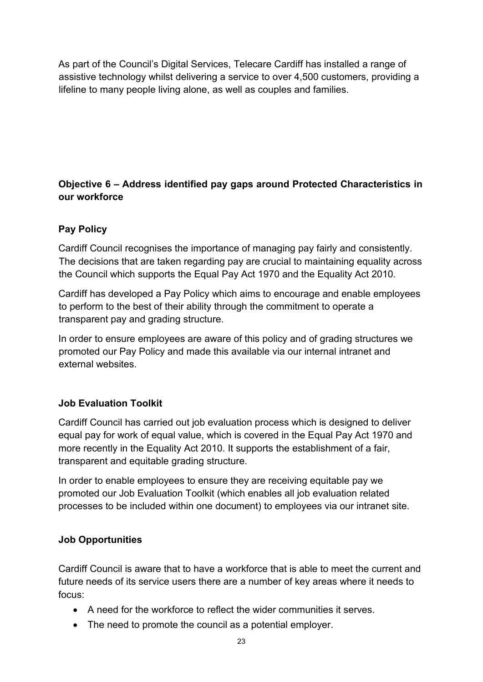As part of the Council's Digital Services, Telecare Cardiff has installed a range of assistive technology whilst delivering a service to over 4,500 customers, providing a lifeline to many people living alone, as well as couples and families.

#### **Objective 6 – Address identified pay gaps around Protected Characteristics in our workforce**

#### **Pay Policy**

Cardiff Council recognises the importance of managing pay fairly and consistently. The decisions that are taken regarding pay are crucial to maintaining equality across the Council which supports the Equal Pay Act 1970 and the Equality Act 2010.

Cardiff has developed a Pay Policy which aims to encourage and enable employees to perform to the best of their ability through the commitment to operate a transparent pay and grading structure.

In order to ensure employees are aware of this policy and of grading structures we promoted our Pay Policy and made this available via our internal intranet and external websites.

#### **Job Evaluation Toolkit**

Cardiff Council has carried out job evaluation process which is designed to deliver equal pay for work of equal value, which is covered in the Equal Pay Act 1970 and more recently in the Equality Act 2010. It supports the establishment of a fair, transparent and equitable grading structure.

In order to enable employees to ensure they are receiving equitable pay we promoted our Job Evaluation Toolkit (which enables all job evaluation related processes to be included within one document) to employees via our intranet site.

#### **Job Opportunities**

Cardiff Council is aware that to have a workforce that is able to meet the current and future needs of its service users there are a number of key areas where it needs to focus:

- A need for the workforce to reflect the wider communities it serves.
- The need to promote the council as a potential employer.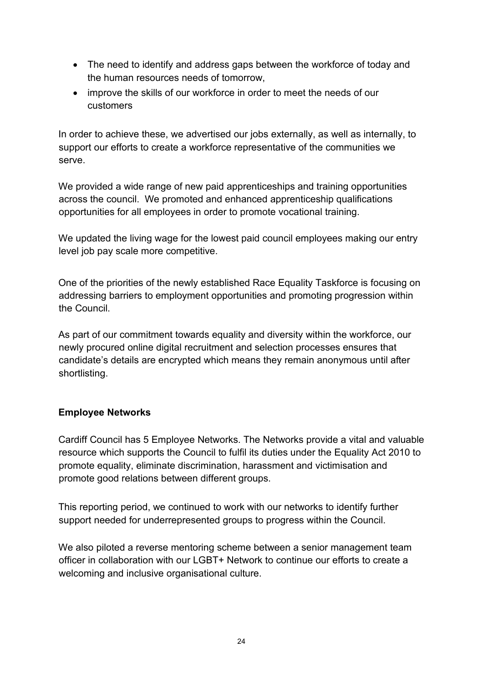- The need to identify and address gaps between the workforce of today and the human resources needs of tomorrow,
- improve the skills of our workforce in order to meet the needs of our customers

In order to achieve these, we advertised our jobs externally, as well as internally, to support our efforts to create a workforce representative of the communities we serve.

We provided a wide range of new paid apprenticeships and training opportunities across the council. We promoted and enhanced apprenticeship qualifications opportunities for all employees in order to promote vocational training.

We updated the living wage for the lowest paid council employees making our entry level job pay scale more competitive.

One of the priorities of the newly established Race Equality Taskforce is focusing on addressing barriers to employment opportunities and promoting progression within the Council.

As part of our commitment towards equality and diversity within the workforce, our newly procured online digital recruitment and selection processes ensures that candidate's details are encrypted which means they remain anonymous until after shortlisting.

#### **Employee Networks**

Cardiff Council has 5 Employee Networks. The Networks provide a vital and valuable resource which supports the Council to fulfil its duties under the Equality Act 2010 to promote equality, eliminate discrimination, harassment and victimisation and promote good relations between different groups.

This reporting period, we continued to work with our networks to identify further support needed for underrepresented groups to progress within the Council.

We also piloted a reverse mentoring scheme between a senior management team officer in collaboration with our LGBT+ Network to continue our efforts to create a welcoming and inclusive organisational culture.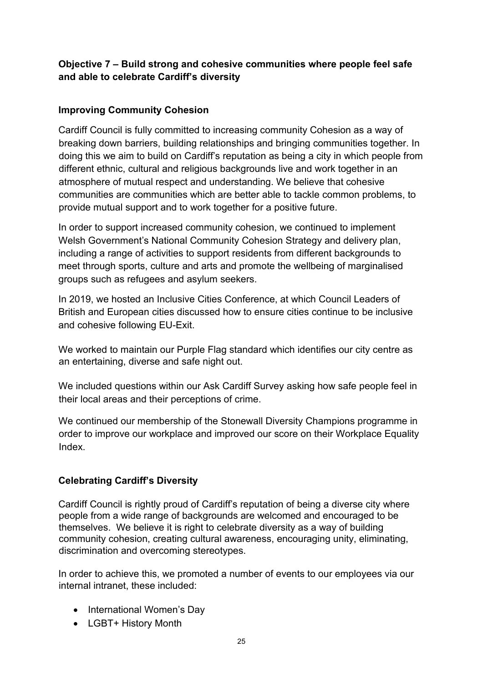#### **Objective 7 – Build strong and cohesive communities where people feel safe and able to celebrate Cardiff's diversity**

#### **Improving Community Cohesion**

Cardiff Council is fully committed to increasing community Cohesion as a way of breaking down barriers, building relationships and bringing communities together. In doing this we aim to build on Cardiff's reputation as being a city in which people from different ethnic, cultural and religious backgrounds live and work together in an atmosphere of mutual respect and understanding. We believe that cohesive communities are communities which are better able to tackle common problems, to provide mutual support and to work together for a positive future.

In order to support increased community cohesion, we continued to implement Welsh Government's National Community Cohesion Strategy and delivery plan, including a range of activities to support residents from different backgrounds to meet through sports, culture and arts and promote the wellbeing of marginalised groups such as refugees and asylum seekers.

In 2019, we hosted an Inclusive Cities Conference, at which Council Leaders of British and European cities discussed how to ensure cities continue to be inclusive and cohesive following EU-Exit.

We worked to maintain our Purple Flag standard which identifies our city centre as an entertaining, diverse and safe night out.

We included questions within our Ask Cardiff Survey asking how safe people feel in their local areas and their perceptions of crime.

We continued our membership of the Stonewall Diversity Champions programme in order to improve our workplace and improved our score on their Workplace Equality Index.

#### **Celebrating Cardiff's Diversity**

Cardiff Council is rightly proud of Cardiff's reputation of being a diverse city where people from a wide range of backgrounds are welcomed and encouraged to be themselves. We believe it is right to celebrate diversity as a way of building community cohesion, creating cultural awareness, encouraging unity, eliminating, discrimination and overcoming stereotypes.

In order to achieve this, we promoted a number of events to our employees via our internal intranet, these included:

- International Women's Day
- LGBT+ History Month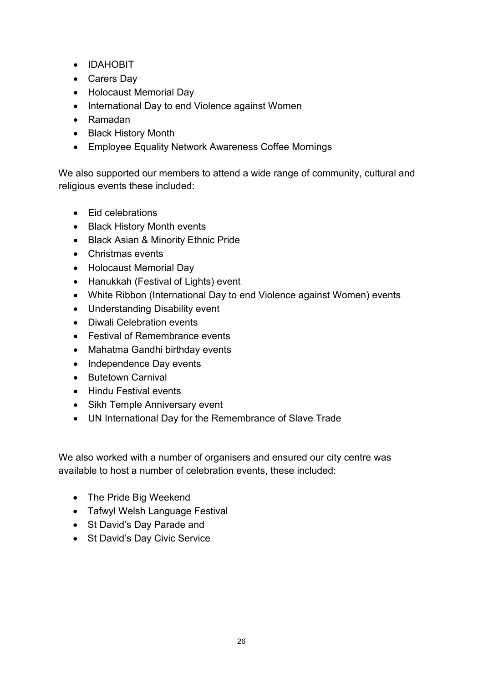- IDAHOBIT
- Carers Day
- Holocaust Memorial Day
- International Day to end Violence against Women
- Ramadan
- Black History Month
- Employee Equality Network Awareness Coffee Mornings

We also supported our members to attend a wide range of community, cultural and religious events these included:

- Eid celebrations
- Black History Month events
- Black Asian & Minority Ethnic Pride
- Christmas events
- Holocaust Memorial Day
- Hanukkah (Festival of Lights) event
- White Ribbon (International Day to end Violence against Women) events
- Understanding Disability event
- Diwali Celebration events
- Festival of Remembrance events
- Mahatma Gandhi birthday events
- Independence Day events
- Butetown Carnival
- Hindu Festival events
- Sikh Temple Anniversary event
- UN International Day for the Remembrance of Slave Trade

We also worked with a number of organisers and ensured our city centre was available to host a number of celebration events, these included:

- The Pride Big Weekend
- Tafwyl Welsh Language Festival
- St David's Day Parade and
- St David's Day Civic Service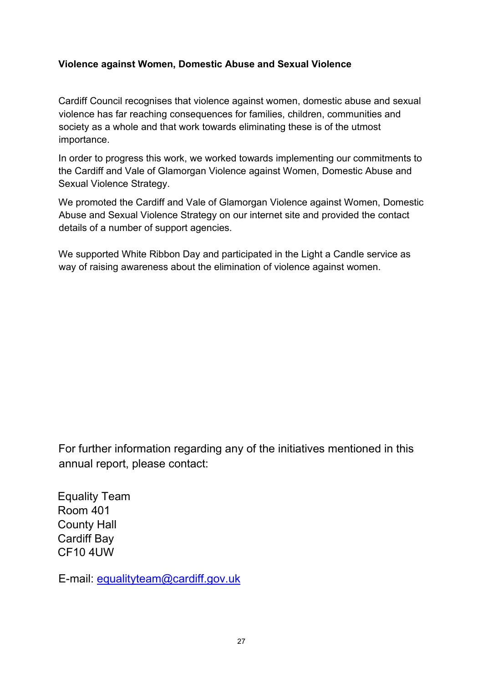#### **Violence against Women, Domestic Abuse and Sexual Violence**

Cardiff Council recognises that violence against women, domestic abuse and sexual violence has far reaching consequences for families, children, communities and society as a whole and that work towards eliminating these is of the utmost importance.

In order to progress this work, we worked towards implementing our commitments to the Cardiff and Vale of Glamorgan Violence against Women, Domestic Abuse and Sexual Violence Strategy.

We promoted the Cardiff and Vale of Glamorgan Violence against Women, Domestic Abuse and Sexual Violence Strategy on our internet site and provided the contact details of a number of support agencies.

We supported White Ribbon Day and participated in the Light a Candle service as way of raising awareness about the elimination of violence against women.

For further information regarding any of the initiatives mentioned in this annual report, please contact:

Equality Team Room 401 County Hall Cardiff Bay CF10 4UW

E-mail: equalityteam@cardiff.gov.uk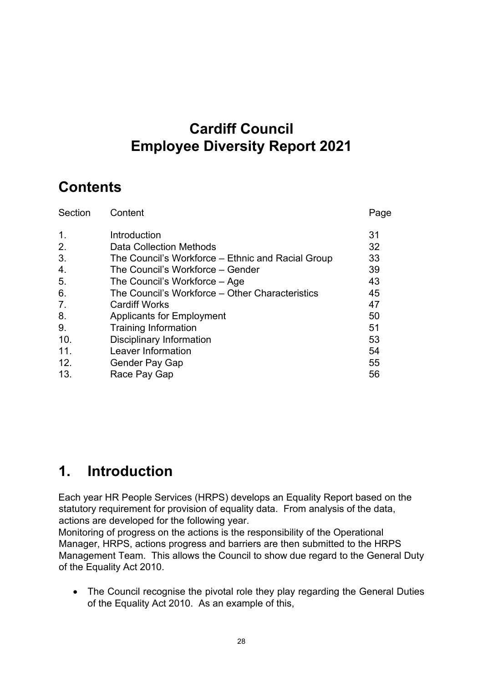## **Cardiff Council Employee Diversity Report 2021**

## **Contents**

| Section          | Content                                           | Page |
|------------------|---------------------------------------------------|------|
| $\mathbf{1}$ .   | Introduction                                      | 31   |
| 2.               | Data Collection Methods                           | 32   |
| 3.               | The Council's Workforce – Ethnic and Racial Group | 33   |
| $\overline{4}$ . | The Council's Workforce - Gender                  | 39   |
| 5.               | The Council's Workforce – Age                     | 43   |
| 6.               | The Council's Workforce – Other Characteristics   | 45   |
| 7.               | <b>Cardiff Works</b>                              | 47   |
| 8.               | <b>Applicants for Employment</b>                  | 50   |
| 9.               | <b>Training Information</b>                       | 51   |
| 10.              | <b>Disciplinary Information</b>                   | 53   |
| 11.              | Leaver Information                                | 54   |
| 12.              | Gender Pay Gap                                    | 55   |
| 13.              | Race Pay Gap                                      | 56   |

## **1. Introduction**

Each year HR People Services (HRPS) develops an Equality Report based on the statutory requirement for provision of equality data. From analysis of the data, actions are developed for the following year.

Monitoring of progress on the actions is the responsibility of the Operational Manager, HRPS, actions progress and barriers are then submitted to the HRPS Management Team. This allows the Council to show due regard to the General Duty of the Equality Act 2010.

• The Council recognise the pivotal role they play regarding the General Duties of the Equality Act 2010. As an example of this,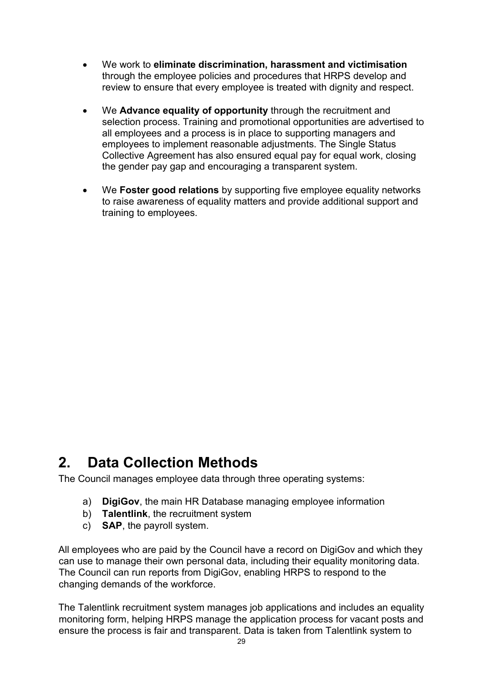- We work to **eliminate discrimination, harassment and victimisation** through the employee policies and procedures that HRPS develop and review to ensure that every employee is treated with dignity and respect.
- We **Advance equality of opportunity** through the recruitment and selection process. Training and promotional opportunities are advertised to all employees and a process is in place to supporting managers and employees to implement reasonable adjustments. The Single Status Collective Agreement has also ensured equal pay for equal work, closing the gender pay gap and encouraging a transparent system.
- We **Foster good relations** by supporting five employee equality networks to raise awareness of equality matters and provide additional support and training to employees.

## **2. Data Collection Methods**

The Council manages employee data through three operating systems:

- a) **DigiGov**, the main HR Database managing employee information
- b) **Talentlink**, the recruitment system
- c) **SAP**, the payroll system.

All employees who are paid by the Council have a record on DigiGoy and which they can use to manage their own personal data, including their equality monitoring data. The Council can run reports from DigiGov, enabling HRPS to respond to the changing demands of the workforce.

The Talentlink recruitment system manages job applications and includes an equality monitoring form, helping HRPS manage the application process for vacant posts and ensure the process is fair and transparent. Data is taken from Talentlink system to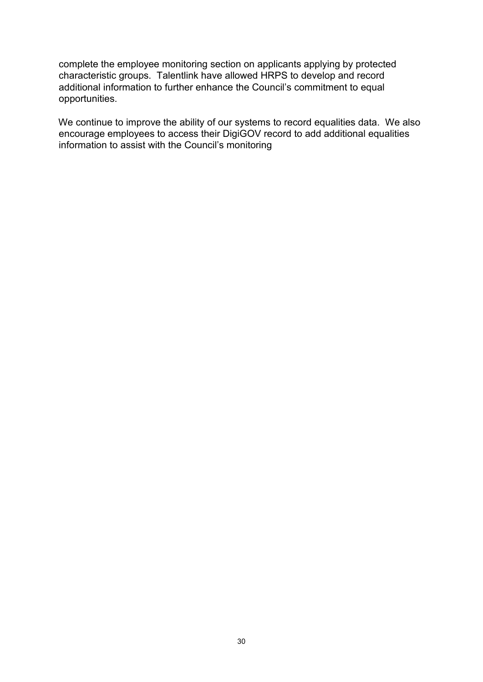complete the employee monitoring section on applicants applying by protected characteristic groups. Talentlink have allowed HRPS to develop and record additional information to further enhance the Council's commitment to equal opportunities.

We continue to improve the ability of our systems to record equalities data. We also encourage employees to access their DigiGOV record to add additional equalities information to assist with the Council's monitoring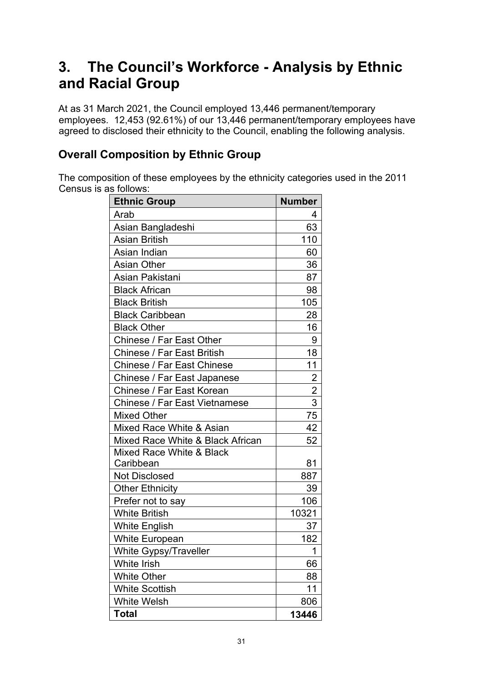## **3. The Council's Workforce - Analysis by Ethnic and Racial Group**

At as 31 March 2021, the Council employed 13,446 permanent/temporary employees. 12,453 (92.61%) of our 13,446 permanent/temporary employees have agreed to disclosed their ethnicity to the Council, enabling the following analysis.

### **Overall Composition by Ethnic Group**

The composition of these employees by the ethnicity categories used in the 2011 Census is as follows:

| <b>Ethnic Group</b>                  | <b>Number</b>  |
|--------------------------------------|----------------|
| Arab                                 | 4              |
| Asian Bangladeshi                    | 63             |
| <b>Asian British</b>                 | 110            |
| Asian Indian                         | 60             |
| <b>Asian Other</b>                   | 36             |
| Asian Pakistani                      | 87             |
| <b>Black African</b>                 | 98             |
| <b>Black British</b>                 | 105            |
| <b>Black Caribbean</b>               | 28             |
| <b>Black Other</b>                   | 16             |
| Chinese / Far East Other             | 9              |
| <b>Chinese / Far East British</b>    | 18             |
| <b>Chinese / Far East Chinese</b>    | 11             |
| Chinese / Far East Japanese          | $\overline{2}$ |
| Chinese / Far East Korean            | $\overline{2}$ |
| <b>Chinese / Far East Vietnamese</b> | $\overline{3}$ |
| <b>Mixed Other</b>                   | 75             |
| Mixed Race White & Asian             | 42             |
| Mixed Race White & Black African     | 52             |
| Mixed Race White & Black             |                |
| Caribbean                            | 81             |
| <b>Not Disclosed</b>                 | 887            |
| <b>Other Ethnicity</b>               | 39             |
| Prefer not to say                    | 106            |
| <b>White British</b>                 | 10321          |
| <b>White English</b>                 | 37             |
| <b>White European</b>                | 182            |
| White Gypsy/Traveller                | 1              |
| <b>White Irish</b>                   | 66             |
| <b>White Other</b>                   | 88             |
| <b>White Scottish</b>                | 11             |
| White Welsh                          | 806            |
| <b>Total</b>                         | 13446          |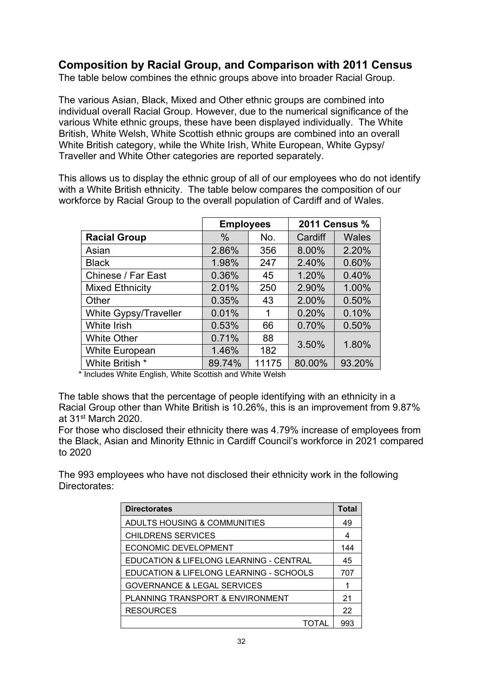### **Composition by Racial Group, and Comparison with 2011 Census**

The table below combines the ethnic groups above into broader Racial Group.

The various Asian, Black, Mixed and Other ethnic groups are combined into individual overall Racial Group. However, due to the numerical significance of the various White ethnic groups, these have been displayed individually. The White British, White Welsh, White Scottish ethnic groups are combined into an overall White British category, while the White Irish, White European, White Gypsy/ Traveller and White Other categories are reported separately.

This allows us to display the ethnic group of all of our employees who do not identify with a White British ethnicity. The table below compares the composition of our workforce by Racial Group to the overall population of Cardiff and of Wales.

|                              | <b>Employees</b> |       | 2011 Census % |              |
|------------------------------|------------------|-------|---------------|--------------|
| <b>Racial Group</b>          | $\frac{0}{0}$    | No.   | Cardiff       | <b>Wales</b> |
| Asian                        | 2.86%            | 356   | 8.00%         | 2.20%        |
| <b>Black</b>                 | 1.98%            | 247   | 2.40%         | 0.60%        |
| Chinese / Far East           | 0.36%            | 45    | 1.20%         | 0.40%        |
| <b>Mixed Ethnicity</b>       | 2.01%            | 250   | 2.90%         | 1.00%        |
| Other                        | 0.35%            | 43    | 2.00%         | 0.50%        |
| <b>White Gypsy/Traveller</b> | 0.01%            | 1     | 0.20%         | 0.10%        |
| <b>White Irish</b>           | 0.53%            | 66    | 0.70%         | 0.50%        |
| <b>White Other</b>           | 0.71%            | 88    | 3.50%         | 1.80%        |
| <b>White European</b>        | 1.46%            | 182   |               |              |
| White British *              | 89.74%           | 11175 | 80.00%        | 93.20%       |

\* Includes White English, White Scottish and White Welsh

The table shows that the percentage of people identifying with an ethnicity in a Racial Group other than White British is 10.26%, this is an improvement from 9.87% at 31st March 2020.

For those who disclosed their ethnicity there was 4.79% increase of employees from the Black, Asian and Minority Ethnic in Cardiff Council's workforce in 2021 compared to 2020

The 993 employees who have not disclosed their ethnicity work in the following Directorates:

| <b>Directorates</b>                     | Total |
|-----------------------------------------|-------|
| ADULTS HOUSING & COMMUNITIES            | 49    |
| <b>CHILDRENS SERVICES</b>               | 4     |
| ECONOMIC DEVELOPMENT                    | 144   |
| EDUCATION & LIFELONG LEARNING - CENTRAL | 45    |
| EDUCATION & LIFELONG LEARNING - SCHOOLS | 707   |
| <b>GOVERNANCE &amp; LEGAL SERVICES</b>  | 1     |
| PLANNING TRANSPORT & ENVIRONMENT        | 21    |
| <b>RESOURCES</b>                        | 22    |
| TOTAL                                   | 993   |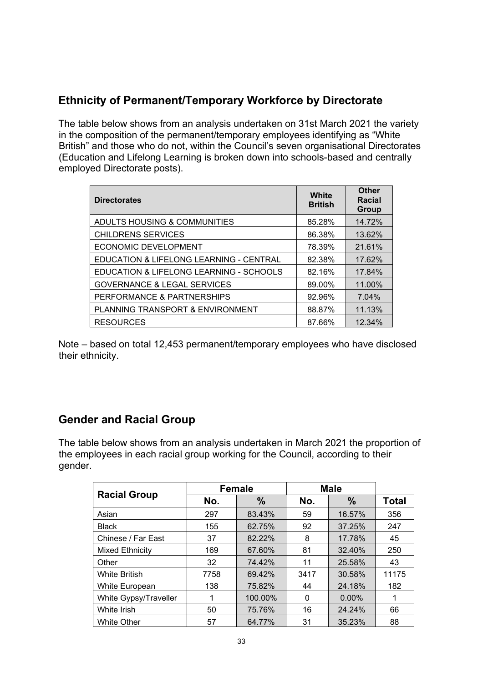### **Ethnicity of Permanent/Temporary Workforce by Directorate**

The table below shows from an analysis undertaken on 31st March 2021 the variety in the composition of the permanent/temporary employees identifying as "White British" and those who do not, within the Council's seven organisational Directorates (Education and Lifelong Learning is broken down into schools-based and centrally employed Directorate posts).

| <b>Directorates</b>                     | White<br><b>British</b> | Other<br><b>Racial</b><br>Group |
|-----------------------------------------|-------------------------|---------------------------------|
| ADULTS HOUSING & COMMUNITIES            | 85.28%                  | 14.72%                          |
| CHILDRENS SERVICES                      | 86.38%                  | 13.62%                          |
| ECONOMIC DEVELOPMENT                    | 78.39%                  | 21.61%                          |
| EDUCATION & LIFELONG LEARNING - CENTRAL | 82.38%                  | 17.62%                          |
| EDUCATION & LIFELONG LEARNING - SCHOOLS | 82.16%                  | 17.84%                          |
| <b>GOVERNANCE &amp; LEGAL SERVICES</b>  | 89.00%                  | 11.00%                          |
| PERFORMANCE & PARTNERSHIPS              | 92.96%                  | 7.04%                           |
| PLANNING TRANSPORT & ENVIRONMENT        | 88.87%                  | 11.13%                          |
| <b>RESOURCES</b>                        | 87.66%                  | 12.34%                          |

Note – based on total 12,453 permanent/temporary employees who have disclosed their ethnicity.

#### **Gender and Racial Group**

The table below shows from an analysis undertaken in March 2021 the proportion of the employees in each racial group working for the Council, according to their gender.

|                       |      | <b>Female</b> |      | <b>Male</b> |       |
|-----------------------|------|---------------|------|-------------|-------|
| <b>Racial Group</b>   | No.  | $\frac{9}{6}$ | No.  | $\%$        | Total |
| Asian                 | 297  | 83.43%        | 59   | 16.57%      | 356   |
| <b>Black</b>          | 155  | 62.75%        | 92   | 37.25%      | 247   |
| Chinese / Far East    | 37   | 82.22%        | 8    | 17.78%      | 45    |
| Mixed Ethnicity       | 169  | 67.60%        | 81   | 32.40%      | 250   |
| Other                 | 32   | 74.42%        | 11   | 25.58%      | 43    |
| <b>White British</b>  | 7758 | 69.42%        | 3417 | 30.58%      | 11175 |
| White European        | 138  | 75.82%        | 44   | 24.18%      | 182   |
| White Gypsy/Traveller |      | 100.00%       | 0    | 0.00%       |       |
| White Irish           | 50   | 75.76%        | 16   | 24.24%      | 66    |
| <b>White Other</b>    | 57   | 64.77%        | 31   | 35.23%      | 88    |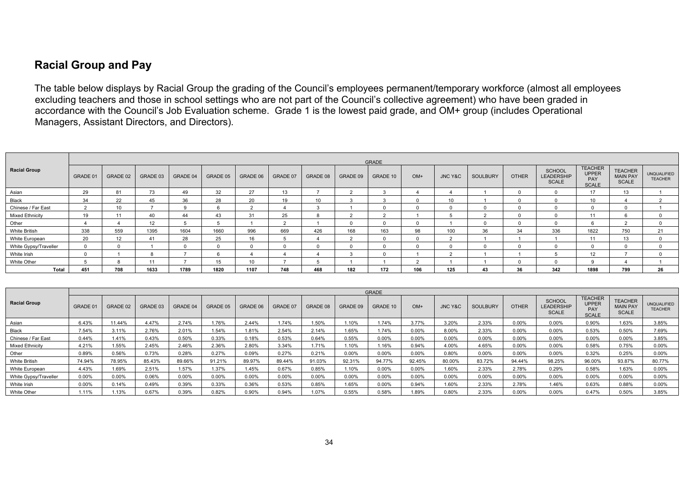### **Racial Group and Pay**

The table below displays by Racial Group the grading of the Council's employees permanent/temporary workforce (almost all employees excluding teachers and those in school settings who are not part of the Council's collective agreement) who have been graded in accordance with the Council's Job Evaluation scheme. Grade 1 is the lowest paid grade, and OM+ group (includes Operational Managers, Assistant Directors, and Directors).

|                        |              | <b>GRADE</b> |                |          |          |          |          |          |          |          |          |         |          |              |                                                    |                                                       |                                                   |                                      |
|------------------------|--------------|--------------|----------------|----------|----------|----------|----------|----------|----------|----------|----------|---------|----------|--------------|----------------------------------------------------|-------------------------------------------------------|---------------------------------------------------|--------------------------------------|
| <b>Racial Group</b>    | GRADE 01     | GRADE 02     | GRADE 03       | GRADE 04 | GRADE 05 | GRADE 06 | GRADE 07 | GRADE 08 | GRADE 09 | GRADE 10 | $OM+$    | JNC Y&C | SOULBURY | <b>OTHER</b> | <b>SCHOOL</b><br><b>LEADERSHIP</b><br><b>SCALE</b> | <b>TEACHER</b><br><b>UPPER</b><br>PAY<br><b>SCALE</b> | <b>TEACHER</b><br><b>MAIN PAY</b><br><b>SCALE</b> | <b>UNQUALIFIED</b><br><b>TEACHER</b> |
| Asian                  | 29           | 81           | 73             | 49       | 32       | 27       | 13       |          |          |          |          |         |          |              |                                                    | 17                                                    | 13                                                |                                      |
| Black                  | 34           | 22           | 45             | 36       | 28       | 20       | 19       | 10       | 3        |          |          | 10      |          |              |                                                    | 10                                                    |                                                   |                                      |
| Chinese / Far East     | $\sim$       | 10           | $\overline{ }$ |          |          | $\sim$   |          |          |          |          | $\Omega$ |         | $\Omega$ |              |                                                    |                                                       |                                                   |                                      |
| <b>Mixed Ethnicity</b> | 19           | 11           | 40             | 44       | 43       | 31       | 25       |          |          |          |          |         |          |              |                                                    |                                                       |                                                   |                                      |
| Other                  |              |              | 12             |          |          |          | $\sim$   |          |          |          | $\Omega$ |         | $\Omega$ |              |                                                    | h.                                                    |                                                   | $\Omega$                             |
| <b>White British</b>   | 338          | 559          | 1395           | 1604     | 1660     | 996      | 669      | 426      | 168      | 163      | 98       | 100     | 36       | 34           | 336                                                | 1822                                                  | 750                                               | 21                                   |
| White European         | 20           | 12           | 41             | 28       | 25       | 16       |          |          | $\Omega$ |          | $\Omega$ |         |          |              |                                                    | 11                                                    | 13                                                |                                      |
| White Gypsy/Traveller  | <sup>n</sup> | $\Omega$     |                |          |          |          |          |          |          |          | $\Omega$ |         |          |              |                                                    |                                                       |                                                   | $\Omega$                             |
| White Irish            |              |              | $\mathsf{R}$   |          |          |          |          |          | $\sim$   |          |          |         |          |              |                                                    | 12                                                    |                                                   |                                      |
| White Other            |              |              | 11             |          | 15       | 10       |          |          |          |          | $\Omega$ |         |          |              |                                                    | <b>q</b>                                              |                                                   |                                      |
| Total                  | 451          | 708          | 1633           | 1789     | 1820     | 1107     | 748      | 468      | 182      | 172      | 106      | 125     | 43       | 36           | 342                                                | 1898                                                  | 799                                               | 26                                   |

|                        |          |          |          |                 |          |          |          |          |          | <b>GRADE</b> |          |                    |                 |              |                                                    |                                                       |                                                   |                                      |
|------------------------|----------|----------|----------|-----------------|----------|----------|----------|----------|----------|--------------|----------|--------------------|-----------------|--------------|----------------------------------------------------|-------------------------------------------------------|---------------------------------------------------|--------------------------------------|
| <b>Racial Group</b>    | GRADE 01 | GRADE 02 | GRADE 03 | <b>GRADE 04</b> | GRADE 05 | GRADE 06 | GRADE 07 | GRADE 08 | GRADE 09 | GRADE 10     | $OM+$    | <b>JNC Y&amp;C</b> | <b>SOULBURY</b> | <b>OTHER</b> | <b>SCHOOL</b><br><b>LEADERSHIP</b><br><b>SCALE</b> | <b>TEACHER</b><br><b>UPPER</b><br>PAY<br><b>SCALE</b> | <b>TEACHER</b><br><b>MAIN PAY</b><br><b>SCALE</b> | <b>UNQUALIFIED</b><br><b>TEACHER</b> |
| Asian                  | 6.43%    | 11.44%   | 4.47%    | 2.74%           | 1.76%    | 2.44%    | 1.74%    | 1.50%    | 1.10%    | 1.74%        | 3.77%    | 3.20%              | 2.33%           | 0.00%        | 0.00%                                              | 0.90%                                                 | 1.63%                                             | 3.85%                                |
| Black                  | 7.54%    | 3.11%    | 2.76%    | 2.01%           | 1.54%    | 1.81%    | 2.54%    | 2.14%    | 1.65%    | 1.74%        | 0.00%    | 8.00%              | 2.33%           | 0.00%        | 0.00%                                              | 0.53%                                                 | 0.50%                                             | 7.69%                                |
| Chinese / Far East     | 0.44%    | 1.41%    | 0.43%    | 0.50%           | 0.33%    | 0.18%    | 0.53%    | 0.64%    | 0.55%    | 0.00%        | 0.00%    | 0.00%              | 0.00%           | 0.00%        | 0.00%                                              | 0.00%                                                 | 0.00%                                             | 3.85%                                |
| <b>Mixed Ethnicity</b> | 4.21%    | 1.55%    | 2.45%    | 2.46%           | 2.36%    | 2.80%    | 3.34%    | 1.71%    | 1.10%    | 1.16%        | 0.94%    | 4.00%              | 4.65%           | 0.00%        | 0.00%                                              | 0.58%                                                 | 0.75%                                             | $0.00\%$                             |
| Other                  | 0.89%    | 0.56%    | 0.73%    | 0.28%           | 0.27%    | 0.09%    | 0.27%    | 0.21%    | 0.00%    | 0.00%        | $0.00\%$ | 0.80%              | 0.00%           | 0.00%        | 0.00%                                              | 0.32%                                                 | 0.25%                                             | $0.00\%$                             |
| White British          | 74.94%   | 78.95%   | 85.43%   | 89.66%          | 91.21%   | 89.97%   | 89.44%   | 91.03%   | 92.31%   | 94.77%       | 92.45%   | 80.00%             | 83.72%          | 94.44%       | 98.25%                                             | 96.00%                                                | 93.87%                                            | 80.77%                               |
| White European         | 4.43%    | 1.69%    | 2.51%    | 1.57%           | 1.37%    | 1.45%    | 0.67%    | 0.85%    | 1.10%    | 0.00%        | 0.00%    | 1.60%              | 2.33%           | 2.78%        | 0.29%                                              | 0.58%                                                 | 1.63%                                             | 0.00%                                |
| White Gypsy/Traveller  | 0.00%    | 0.00%    | 0.06%    | 0.00%           | 0.00%    | 0.00%    | 0.00%    | 0.00%    | 0.00%    | 0.00%        | 0.00%    | 0.00%              | 0.00%           | 0.00%        | 0.00%                                              | 0.00%                                                 | 0.00%                                             | $0.00\%$                             |
| White Irish            | 0.00%    | 0.14%    | 0.49%    | 0.39%           | 0.33%    | 0.36%    | 0.53%    | 0.85%    | 1.65%    | 0.00%        | 0.94%    | 1.60%              | 2.33%           | 2.78%        | 1.46%                                              | 0.63%                                                 | 0.88%                                             | $0.00\%$                             |
| White Other            | 1.11%    | 1.13%    | 0.67%    | 0.39%           | 0.82%    | 0.90%    | 0.94%    | 1.07%    | 0.55%    | 0.58%        | 1.89%    | 0.80%              | 2.33%           | 0.00%        | 0.00%                                              | 0.47%                                                 | 0.50%                                             | 3.85%                                |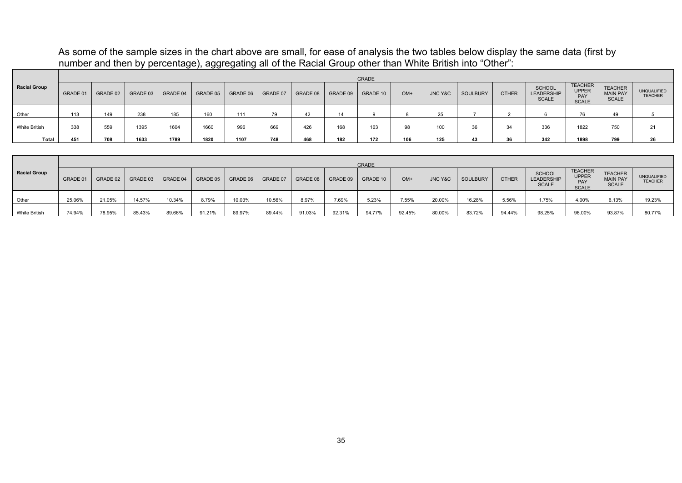#### As some of the sample sizes in the chart above are small, for ease of analysis the two tables below display the same data (first by number and then by percentage), aggregating all of the Racial Group other than White British into "Other":

|                     | <b>GRADE</b> |          |          |          |          |          |          |          |          |          |       |                    |          |              |                                             |                                                       |                                                   |                                      |
|---------------------|--------------|----------|----------|----------|----------|----------|----------|----------|----------|----------|-------|--------------------|----------|--------------|---------------------------------------------|-------------------------------------------------------|---------------------------------------------------|--------------------------------------|
| <b>Racial Group</b> | GRADE 01     | GRADE 02 | GRADE 03 | GRADE 04 | GRADE 05 | GRADE 06 | GRADE 07 | GRADE 08 | GRADE 09 | GRADE 10 | $OM+$ | <b>JNC Y&amp;C</b> | SOULBURY | <b>OTHER</b> | <b>SCHOOL</b><br>LEADERSHIP<br><b>SCALE</b> | <b>TEACHER</b><br><b>UPPER</b><br>PAY<br><b>SCALE</b> | <b>TEACHER</b><br><b>MAIN PAY</b><br><b>SCALE</b> | <b>UNQUALIFIED</b><br><b>TEACHER</b> |
| Other               | 113          | 149      | 238      | 185      | 160      | 111      | 79       | 42       | 14       |          |       | 25                 |          |              |                                             | 76                                                    | 49                                                |                                      |
| White British       | 338          | 559      | 1395     | 1604     | 1660     | 996      | 669      | 426      | 168      | 163      | 98    | 100                | 36       | 34           | 336                                         | 1822                                                  | 750                                               | 21                                   |
| Total               | 451          | 708      | 1633     | 1789     | 1820     | 1107     | 748      | 468      | 182      | 172      | 106   | 125                | 43       | 36           | 342                                         | 1898                                                  | 799                                               | 26                                   |

|                      | <b>GRADE</b> |          |          |          |          |          |          |        |                     |          |        |         |          |              |                                             |                                                       |                                                   |                                      |
|----------------------|--------------|----------|----------|----------|----------|----------|----------|--------|---------------------|----------|--------|---------|----------|--------------|---------------------------------------------|-------------------------------------------------------|---------------------------------------------------|--------------------------------------|
| <b>Racial Group</b>  | GRADE 01     | GRADE 02 | GRADE 03 | GRADE 04 | GRADE 05 | GRADE 06 | GRADE 07 |        | GRADE 08   GRADE 09 | GRADE 10 | $OM+$  | JNC Y&C | SOULBURY | <b>OTHER</b> | <b>SCHOOL</b><br>LEADERSHIP<br><b>SCALE</b> | <b>TEACHER</b><br><b>UPPER</b><br>PAY<br><b>SCALE</b> | <b>TEACHER</b><br><b>MAIN PAY</b><br><b>SCALE</b> | <b>UNQUALIFIED</b><br><b>TEACHER</b> |
| Other                | 25.06%       | 21.05%   | 14.57%   | 10.34%   | 8.79%    | 10.03%   | 10.56%   | 8.97%  | 7.69%               | 5.23%    | 7.55%  | 20.00%  | 16.28%   | 5.56%        | 1.75%                                       | 4.00%                                                 | 6.13%                                             | 19.23%                               |
| <b>White British</b> | 74.94%       | 78.95%   | 85.43%   | 89.66%   | 91.21%   | 89.97%   | 89.44%   | 91.03% | 92.31%              | 94.77%   | 92.45% | 80.00%  | 83.72%   | 94.44%       | 98.25%                                      | 96.00%                                                | 93.87%                                            | 80.77%                               |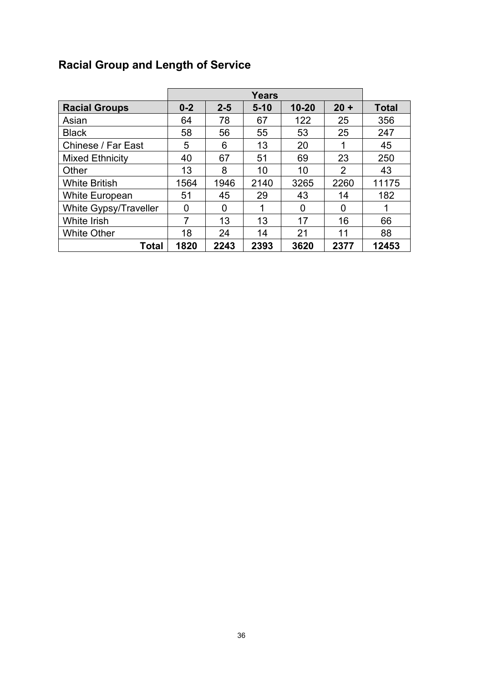## **Racial Group and Length of Service**

|                        |         |         | <b>Years</b> |           |        |              |
|------------------------|---------|---------|--------------|-----------|--------|--------------|
| <b>Racial Groups</b>   | $0 - 2$ | $2 - 5$ | $5 - 10$     | $10 - 20$ | $20 +$ | <b>Total</b> |
| Asian                  | 64      | 78      | 67           | 122       | 25     | 356          |
| <b>Black</b>           | 58      | 56      | 55           | 53        | 25     | 247          |
| Chinese / Far East     | 5       | 6       | 13           | 20        | 1      | 45           |
| <b>Mixed Ethnicity</b> | 40      | 67      | 51           | 69        | 23     | 250          |
| Other                  | 13      | 8       | 10           | 10        | 2      | 43           |
| <b>White British</b>   | 1564    | 1946    | 2140         | 3265      | 2260   | 11175        |
| <b>White European</b>  | 51      | 45      | 29           | 43        | 14     | 182          |
| White Gypsy/Traveller  | 0       | 0       |              | 0         | 0      | 1            |
| White Irish            | 7       | 13      | 13           | 17        | 16     | 66           |
| <b>White Other</b>     | 18      | 24      | 14           | 21        | 11     | 88           |
| Total                  | 1820    | 2243    | 2393         | 3620      | 2377   | 12453        |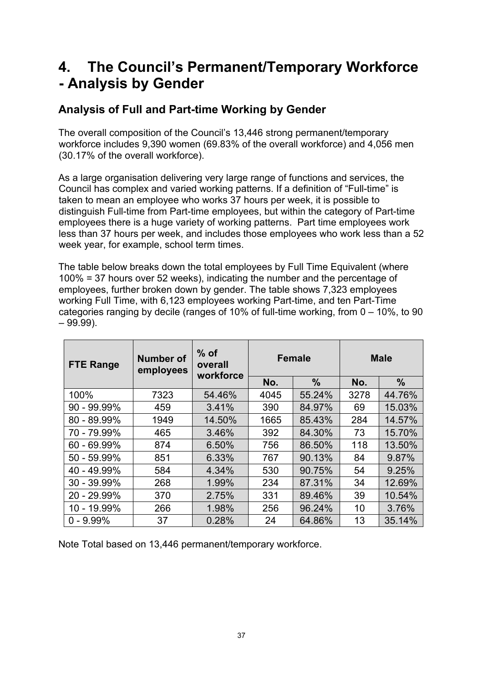## **4. The Council's Permanent/Temporary Workforce - Analysis by Gender**

### **Analysis of Full and Part-time Working by Gender**

The overall composition of the Council's 13,446 strong permanent/temporary workforce includes 9,390 women (69.83% of the overall workforce) and 4,056 men (30.17% of the overall workforce).

As a large organisation delivering very large range of functions and services, the Council has complex and varied working patterns. If a definition of "Full-time" is taken to mean an employee who works 37 hours per week, it is possible to distinguish Full-time from Part-time employees, but within the category of Part-time employees there is a huge variety of working patterns. Part time employees work less than 37 hours per week, and includes those employees who work less than a 52 week year, for example, school term times.

The table below breaks down the total employees by Full Time Equivalent (where 100% = 37 hours over 52 weeks), indicating the number and the percentage of employees, further broken down by gender. The table shows 7,323 employees working Full Time, with 6,123 employees working Part-time, and ten Part-Time categories ranging by decile (ranges of 10% of full-time working, from 0 – 10%, to 90  $-99.99$ ).

| <b>FTE Range</b> | <b>Number of</b><br>employees | $%$ of<br>overall<br>workforce |      | <b>Female</b> |      | <b>Male</b> |
|------------------|-------------------------------|--------------------------------|------|---------------|------|-------------|
|                  |                               |                                | No.  | $\frac{9}{6}$ | No.  | $\%$        |
| 100%             | 7323                          | 54.46%                         | 4045 | 55.24%        | 3278 | 44.76%      |
| $90 - 99.99\%$   | 459                           | 3.41%                          | 390  | 84.97%        | 69   | 15.03%      |
| 80 - 89.99%      | 1949                          | 14.50%                         | 1665 | 85.43%        | 284  | 14.57%      |
| 70 - 79.99%      | 465                           | 3.46%                          | 392  | 84.30%        | 73   | 15.70%      |
| 60 - 69.99%      | 874                           | 6.50%                          | 756  | 86.50%        | 118  | 13.50%      |
| 50 - 59.99%      | 851                           | 6.33%                          | 767  | 90.13%        | 84   | 9.87%       |
| 40 - 49.99%      | 584                           | 4.34%                          | 530  | 90.75%        | 54   | 9.25%       |
| 30 - 39.99%      | 268                           | 1.99%                          | 234  | 87.31%        | 34   | 12.69%      |
| 20 - 29.99%      | 370                           | 2.75%                          | 331  | 89.46%        | 39   | 10.54%      |
| 10 - 19.99%      | 266                           | 1.98%                          | 256  | 96.24%        | 10   | 3.76%       |
| $0 - 9.99%$      | 37                            | 0.28%                          | 24   | 64.86%        | 13   | 35.14%      |

Note Total based on 13,446 permanent/temporary workforce.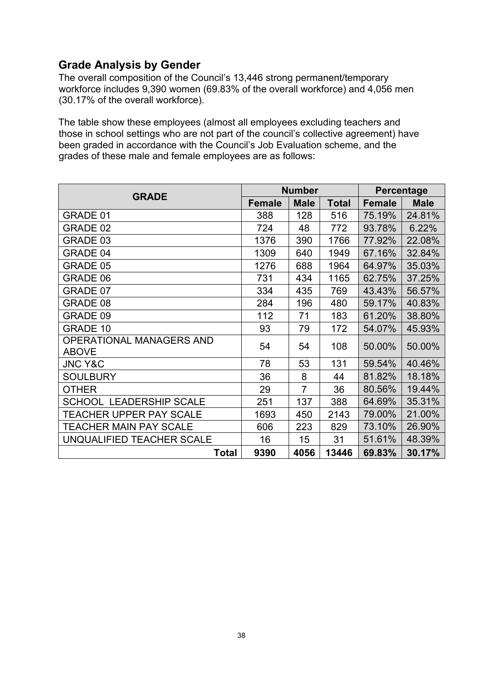### **Grade Analysis by Gender**

The overall composition of the Council's 13,446 strong permanent/temporary workforce includes 9,390 women (69.83% of the overall workforce) and 4,056 men (30.17% of the overall workforce).

The table show these employees (almost all employees excluding teachers and those in school settings who are not part of the council's collective agreement) have been graded in accordance with the Council's Job Evaluation scheme, and the grades of these male and female employees are as follows:

|                                          |               | <b>Number</b>  | <b>Percentage</b> |               |             |
|------------------------------------------|---------------|----------------|-------------------|---------------|-------------|
| <b>GRADE</b>                             | <b>Female</b> | <b>Male</b>    | <b>Total</b>      | <b>Female</b> | <b>Male</b> |
| GRADE 01                                 | 388           | 128            | 516               | 75.19%        | 24.81%      |
| GRADE 02                                 | 724           | 48             | 772               | 93.78%        | 6.22%       |
| GRADE 03                                 | 1376          | 390            | 1766              | 77.92%        | 22.08%      |
| <b>GRADE 04</b>                          | 1309          | 640            | 1949              | 67.16%        | 32.84%      |
| GRADE 05                                 | 1276          | 688            | 1964              | 64.97%        | 35.03%      |
| GRADE 06                                 | 731           | 434            | 1165              | 62.75%        | 37.25%      |
| GRADE 07                                 | 334           | 435            | 769               | 43.43%        | 56.57%      |
| GRADE 08                                 | 284           | 196            | 480               | 59.17%        | 40.83%      |
| GRADE 09                                 | 112           | 71             | 183               | 61.20%        | 38.80%      |
| <b>GRADE 10</b>                          | 93            | 79             | 172               | 54.07%        | 45.93%      |
| OPERATIONAL MANAGERS AND<br><b>ABOVE</b> | 54            | 54             | 108               | 50.00%        | 50.00%      |
| <b>JNC Y&amp;C</b>                       | 78            | 53             | 131               | 59.54%        | 40.46%      |
| <b>SOULBURY</b>                          | 36            | 8              | 44                | 81.82%        | 18.18%      |
| <b>OTHER</b>                             | 29            | $\overline{7}$ | 36                | 80.56%        | 19.44%      |
| <b>SCHOOL LEADERSHIP SCALE</b>           | 251           | 137            | 388               | 64.69%        | 35.31%      |
| <b>TEACHER UPPER PAY SCALE</b>           | 1693          | 450            | 2143              | 79.00%        | 21.00%      |
| <b>TEACHER MAIN PAY SCALE</b>            | 606           | 223            | 829               | 73.10%        | 26.90%      |
| UNQUALIFIED TEACHER SCALE                | 16            | 15             | 31                | 51.61%        | 48.39%      |
| <b>Total</b>                             | 9390          | 4056           | 13446             | 69.83%        | 30.17%      |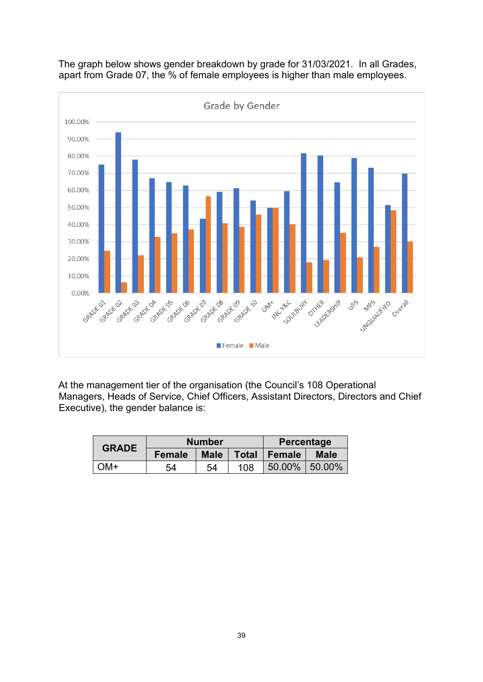

The graph below shows gender breakdown by grade for 31/03/2021. In all Grades, apart from Grade 07, the % of female employees is higher than male employees.

At the management tier of the organisation (the Council's 108 Operational Managers, Heads of Service, Chief Officers, Assistant Directors, Directors and Chief Executive), the gender balance is:

| <b>GRADE</b>  | <b>Number</b> |             |     | Percentage     |             |  |
|---------------|---------------|-------------|-----|----------------|-------------|--|
|               | <b>Female</b> | <b>Male</b> |     | Total   Female | <b>Male</b> |  |
| $\bigcirc$ M+ | 54            | 54          | 108 | 50.00%         | $50.00\%$   |  |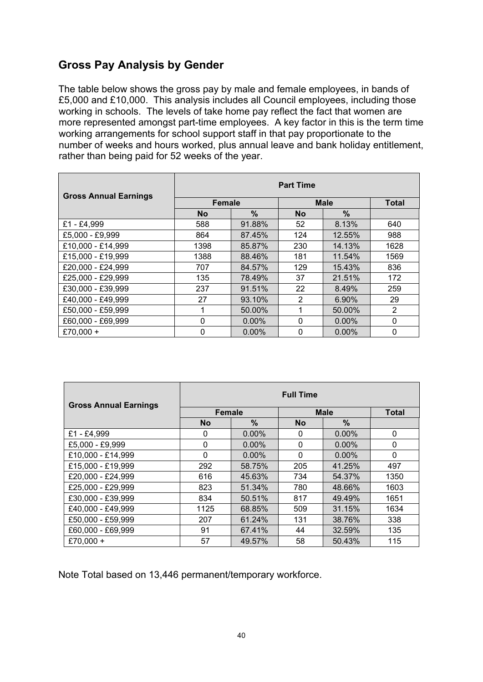### **Gross Pay Analysis by Gender**

The table below shows the gross pay by male and female employees, in bands of £5,000 and £10,000. This analysis includes all Council employees, including those working in schools. The levels of take home pay reflect the fact that women are more represented amongst part-time employees. A key factor in this is the term time working arrangements for school support staff in that pay proportionate to the number of weeks and hours worked, plus annual leave and bank holiday entitlement, rather than being paid for 52 weeks of the year.

| <b>Gross Annual Earnings</b> | <b>Part Time</b> |          |             |              |                |  |  |
|------------------------------|------------------|----------|-------------|--------------|----------------|--|--|
|                              | <b>Female</b>    |          | <b>Male</b> | <b>Total</b> |                |  |  |
|                              | <b>No</b>        | $\%$     | <b>No</b>   | $\%$         |                |  |  |
| £1 - £4,999                  | 588              | 91.88%   | 52          | 8.13%        | 640            |  |  |
| £5,000 - £9,999              | 864              | 87.45%   | 124         | 12.55%       | 988            |  |  |
| £10,000 - £14,999            | 1398             | 85.87%   | 230         | 14.13%       | 1628           |  |  |
| £15,000 - £19,999            | 1388             | 88.46%   | 181         | 11.54%       | 1569           |  |  |
| £20,000 - £24,999            | 707              | 84.57%   | 129         | 15.43%       | 836            |  |  |
| £25,000 - £29,999            | 135              | 78.49%   | 37          | 21.51%       | 172            |  |  |
| £30,000 - £39,999            | 237              | 91.51%   | 22          | 8.49%        | 259            |  |  |
| £40,000 - £49,999            | 27               | 93.10%   | 2           | 6.90%        | 29             |  |  |
| £50,000 - £59,999            | 1                | 50.00%   | 1           | 50.00%       | $\overline{2}$ |  |  |
| £60,000 - £69,999            | $\Omega$         | $0.00\%$ | 0           | $0.00\%$     | $\mathbf{0}$   |  |  |
| £70,000 +                    | $\Omega$         | $0.00\%$ | 0           | $0.00\%$     | 0              |  |  |

| <b>Gross Annual Earnings</b> | <b>Full Time</b> |          |              |              |              |  |  |
|------------------------------|------------------|----------|--------------|--------------|--------------|--|--|
|                              | <b>Female</b>    |          | <b>Male</b>  | <b>Total</b> |              |  |  |
|                              | <b>No</b>        | $\%$     | <b>No</b>    | $\%$         |              |  |  |
| £1 - £4,999                  | 0                | $0.00\%$ | 0            | 0.00%        | $\mathbf{0}$ |  |  |
| £5.000 - £9,999              | $\Omega$         | $0.00\%$ | $\Omega$     | $0.00\%$     | $\Omega$     |  |  |
| £10,000 - £14,999            | 0                | 0.00%    | $\mathbf{0}$ | 0.00%        | $\mathbf{0}$ |  |  |
| £15,000 - £19,999            | 292              | 58.75%   | 205          | 41.25%       | 497          |  |  |
| £20,000 - £24,999            | 616              | 45.63%   | 734          | 54.37%       | 1350         |  |  |
| £25,000 - £29,999            | 823              | 51.34%   | 780          | 48.66%       | 1603         |  |  |
| £30,000 - £39,999            | 834              | 50.51%   | 817          | 49.49%       | 1651         |  |  |
| £40,000 - £49,999            | 1125             | 68.85%   | 509          | 31.15%       | 1634         |  |  |
| £50,000 - £59,999            | 207              | 61.24%   | 131          | 38.76%       | 338          |  |  |
| £60,000 - £69,999            | 91               | 67.41%   | 44           | 32.59%       | 135          |  |  |
| £70,000 +                    | 57               | 49.57%   | 58           | 50.43%       | 115          |  |  |

Note Total based on 13,446 permanent/temporary workforce.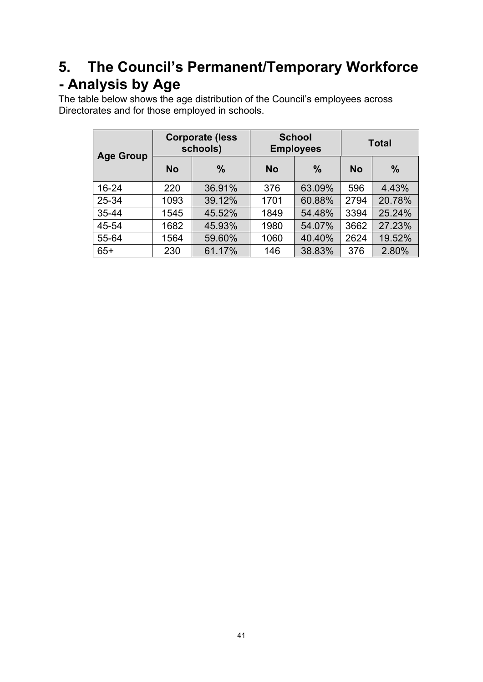## **5. The Council's Permanent/Temporary Workforce - Analysis by Age**

The table below shows the age distribution of the Council's employees across Directorates and for those employed in schools.

|                  | <b>Corporate (less</b><br>schools) |               |           | <b>School</b><br><b>Employees</b> | <b>Total</b> |               |  |
|------------------|------------------------------------|---------------|-----------|-----------------------------------|--------------|---------------|--|
| <b>Age Group</b> | <b>No</b>                          | $\frac{0}{0}$ | <b>No</b> | $\frac{0}{0}$                     | <b>No</b>    | $\frac{0}{0}$ |  |
| 16-24            | 220                                | 36.91%        | 376       | 63.09%                            | 596          | 4.43%         |  |
| 25-34            | 1093                               | 39.12%        | 1701      | 60.88%                            | 2794         | 20.78%        |  |
| 35-44            | 1545                               | 45.52%        | 1849      | 54.48%                            | 3394         | 25.24%        |  |
| 45-54            | 1682                               | 45.93%        | 1980      | 54.07%                            | 3662         | 27.23%        |  |
| 55-64            | 1564                               | 59.60%        | 1060      | 40.40%                            | 2624         | 19.52%        |  |
| $65+$            | 230                                | 61.17%        | 146       | 38.83%                            | 376          | 2.80%         |  |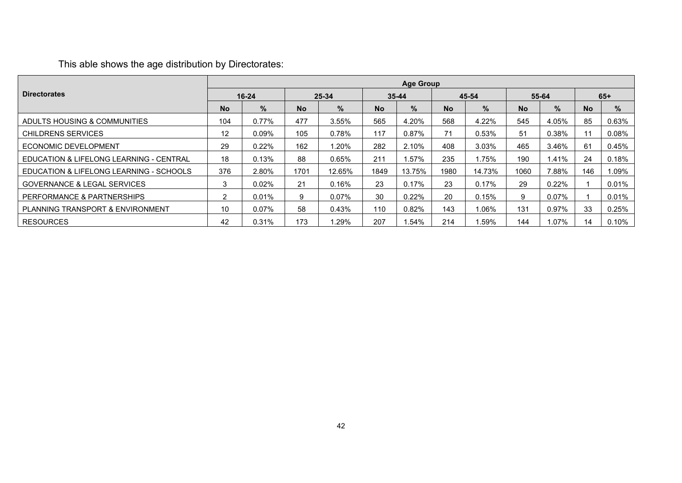### This able shows the age distribution by Directorates:

|                                         |           | <b>Age Group</b> |           |          |           |           |           |        |           |          |           |          |
|-----------------------------------------|-----------|------------------|-----------|----------|-----------|-----------|-----------|--------|-----------|----------|-----------|----------|
| <b>Directorates</b>                     |           | $16 - 24$        |           | 25-34    |           | $35 - 44$ |           | 45-54  |           | 55-64    |           | $65+$    |
|                                         | <b>No</b> | %                | <b>No</b> | $\%$     | <b>No</b> | $\%$      | <b>No</b> | $\%$   | <b>No</b> | $\%$     | <b>No</b> | $\%$     |
| ADULTS HOUSING & COMMUNITIES            | 104       | 0.77%            | 477       | 3.55%    | 565       | 4.20%     | 568       | 4.22%  | 545       | 4.05%    | 85        | 0.63%    |
| CHILDRENS SERVICES                      | 12        | $0.09\%$         | 105       | 0.78%    | 117       | 0.87%     | 71        | 0.53%  | 51        | 0.38%    | 11        | $0.08\%$ |
| ECONOMIC DEVELOPMENT                    | 29        | 0.22%            | 162       | 1.20%    | 282       | 2.10%     | 408       | 3.03%  | 465       | 3.46%    | 61        | 0.45%    |
| EDUCATION & LIFELONG LEARNING - CENTRAL | 18        | 0.13%            | 88        | 0.65%    | 211       | .57%      | 235       | .75%   | 190       | .41%     | 24        | 0.18%    |
| EDUCATION & LIFELONG LEARNING - SCHOOLS | 376       | 2.80%            | 1701      | 12.65%   | 1849      | 13.75%    | 1980      | 14.73% | 1060      | 7.88%    | 146       | 1.09%    |
| <b>GOVERNANCE &amp; LEGAL SERVICES</b>  | 3         | 0.02%            | 21        | 0.16%    | 23        | 0.17%     | 23        | 0.17%  | 29        | $0.22\%$ |           | 0.01%    |
| PERFORMANCE & PARTNERSHIPS              | 2         | $0.01\%$         | 9         | $0.07\%$ | 30        | 0.22%     | 20        | 0.15%  | 9         | 0.07%    |           | 0.01%    |
| PLANNING TRANSPORT & ENVIRONMENT        | 10        | $0.07\%$         | 58        | 0.43%    | 110       | $0.82\%$  | 143       | 1.06%  | 131       | 0.97%    | 33        | 0.25%    |
| <b>RESOURCES</b>                        | 42        | 0.31%            | 173       | $.29\%$  | 207       | .54%      | 214       | .59%   | 144       | .07%     | 14        | 0.10%    |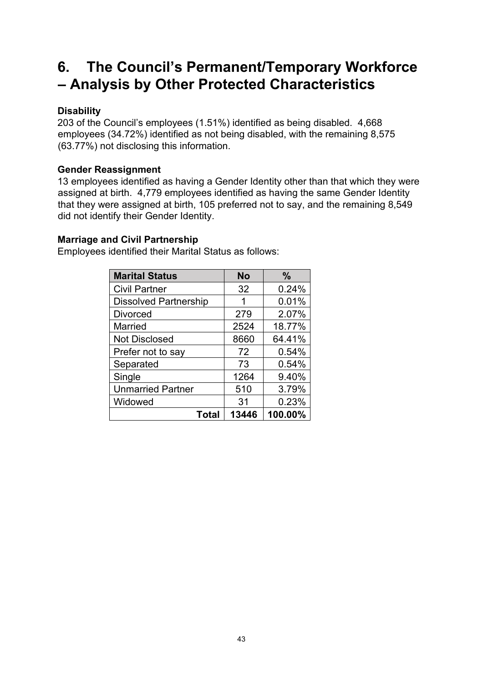## **6. The Council's Permanent/Temporary Workforce – Analysis by Other Protected Characteristics**

#### **Disability**

203 of the Council's employees (1.51%) identified as being disabled. 4,668 employees (34.72%) identified as not being disabled, with the remaining 8,575 (63.77%) not disclosing this information.

#### **Gender Reassignment**

13 employees identified as having a Gender Identity other than that which they were assigned at birth. 4,779 employees identified as having the same Gender Identity that they were assigned at birth, 105 preferred not to say, and the remaining 8,549 did not identify their Gender Identity.

#### **Marriage and Civil Partnership**

Employees identified their Marital Status as follows:

| <b>Marital Status</b>        | No    | $\frac{9}{6}$ |
|------------------------------|-------|---------------|
| <b>Civil Partner</b>         | 32    | 0.24%         |
| <b>Dissolved Partnership</b> | 1     | 0.01%         |
| <b>Divorced</b>              | 279   | 2.07%         |
| <b>Married</b>               | 2524  | 18.77%        |
| <b>Not Disclosed</b>         | 8660  | 64.41%        |
| Prefer not to say            | 72    | 0.54%         |
| Separated                    | 73    | 0.54%         |
| Single                       | 1264  | 9.40%         |
| <b>Unmarried Partner</b>     | 510   | 3.79%         |
| Widowed                      | 31    | 0.23%         |
| Total                        | 13446 | 100.00%       |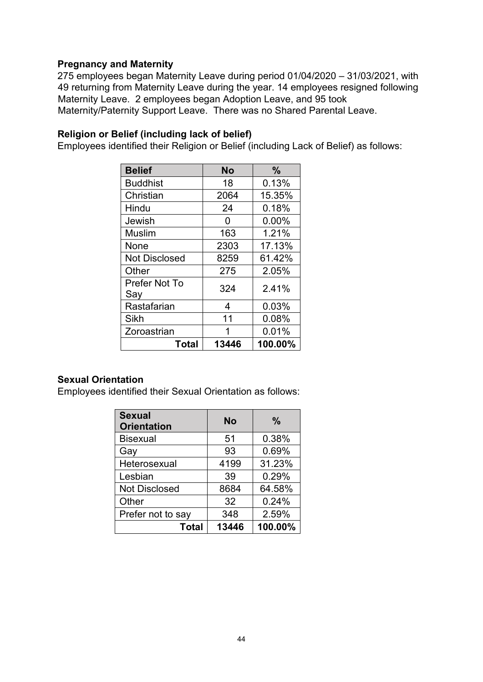#### **Pregnancy and Maternity**

275 employees began Maternity Leave during period 01/04/2020 – 31/03/2021, with 49 returning from Maternity Leave during the year. 14 employees resigned following Maternity Leave. 2 employees began Adoption Leave, and 95 took Maternity/Paternity Support Leave. There was no Shared Parental Leave.

#### **Religion or Belief (including lack of belief)**

Employees identified their Religion or Belief (including Lack of Belief) as follows:

| <b>Belief</b>        | <b>No</b> | $\frac{0}{0}$ |
|----------------------|-----------|---------------|
| <b>Buddhist</b>      | 18        | 0.13%         |
| Christian            | 2064      | 15.35%        |
| Hindu                | 24        | 0.18%         |
| Jewish               | O         | $0.00\%$      |
| <b>Muslim</b>        | 163       | 1.21%         |
| None                 | 2303      | 17.13%        |
| <b>Not Disclosed</b> | 8259      | 61.42%        |
| Other                | 275       | 2.05%         |
| Prefer Not To<br>Say | 324       | 2.41%         |
| Rastafarian          | 4         | 0.03%         |
| Sikh                 | 11        | 0.08%         |
| Zoroastrian          |           | 0.01%         |
| Total                | 13446     | 100.00%       |

#### **Sexual Orientation**

Employees identified their Sexual Orientation as follows:

| <b>Sexual</b><br><b>Orientation</b> | <b>No</b> | $\frac{0}{0}$ |
|-------------------------------------|-----------|---------------|
| <b>Bisexual</b>                     | 51        | 0.38%         |
| Gay                                 | 93        | 0.69%         |
| Heterosexual                        | 4199      | 31.23%        |
| Lesbian                             | 39        | 0.29%         |
| <b>Not Disclosed</b>                | 8684      | 64.58%        |
| Other                               | 32        | 0.24%         |
| Prefer not to say                   | 348       | 2.59%         |
| <b>Total</b>                        | 13446     | 100.00%       |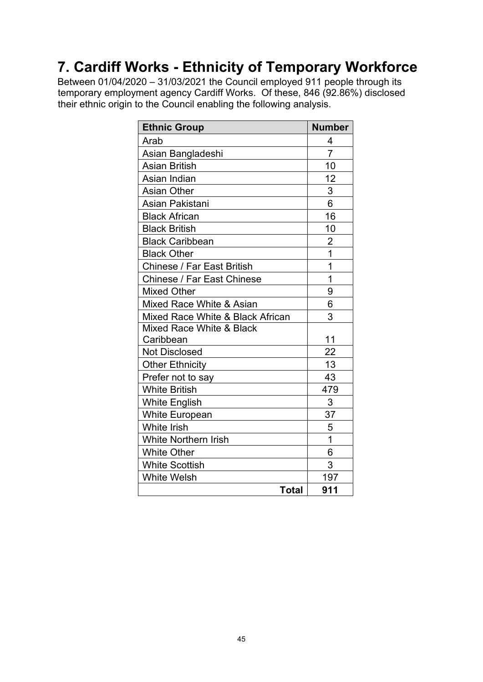## **7. Cardiff Works - Ethnicity of Temporary Workforce**

Between 01/04/2020 – 31/03/2021 the Council employed 911 people through its temporary employment agency Cardiff Works. Of these, 846 (92.86%) disclosed their ethnic origin to the Council enabling the following analysis.

| <b>Ethnic Group</b>               | <b>Number</b>  |
|-----------------------------------|----------------|
| Arab                              | 4              |
| Asian Bangladeshi                 | $\overline{7}$ |
| <b>Asian British</b>              | 10             |
| Asian Indian                      | 12             |
| <b>Asian Other</b>                | 3              |
| Asian Pakistani                   | 6              |
| <b>Black African</b>              | 16             |
| <b>Black British</b>              | 10             |
| <b>Black Caribbean</b>            | $\overline{2}$ |
| <b>Black Other</b>                | $\overline{1}$ |
| <b>Chinese / Far East British</b> | 1              |
| Chinese / Far East Chinese        | 1              |
| <b>Mixed Other</b>                | 9              |
| Mixed Race White & Asian          | 6              |
| Mixed Race White & Black African  | 3              |
| Mixed Race White & Black          |                |
| Caribbean                         | 11             |
| <b>Not Disclosed</b>              | 22             |
| <b>Other Ethnicity</b>            | 13             |
| Prefer not to say                 | 43             |
| <b>White British</b>              | 479            |
| <b>White English</b>              | 3              |
| <b>White European</b>             | 37             |
| <b>White Irish</b>                | 5              |
| <b>White Northern Irish</b>       | $\mathbf 1$    |
| <b>White Other</b>                | 6              |
| <b>White Scottish</b>             | 3              |
| <b>White Welsh</b>                | 197            |
| <b>Total</b>                      | 911            |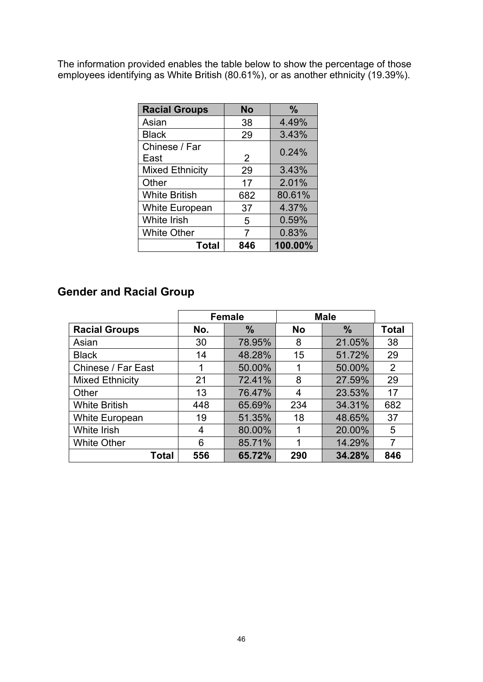The information provided enables the table below to show the percentage of those employees identifying as White British (80.61%), or as another ethnicity (19.39%).

| <b>Racial Groups</b>   | <b>No</b> | $\frac{0}{0}$ |
|------------------------|-----------|---------------|
| Asian                  | 38        | 4.49%         |
| <b>Black</b>           | 29        | 3.43%         |
| Chinese / Far<br>East  | 2         | 0.24%         |
| <b>Mixed Ethnicity</b> | 29        | 3.43%         |
| Other                  | 17        | 2.01%         |
| <b>White British</b>   | 682       | 80.61%        |
| <b>White European</b>  | 37        | 4.37%         |
| <b>White Irish</b>     | 5         | 0.59%         |
| <b>White Other</b>     | 7         | 0.83%         |
| <b>Total</b>           | 846       | 100.00%       |

### **Gender and Racial Group**

|                        | <b>Female</b> |               |           | <b>Male</b>   |              |
|------------------------|---------------|---------------|-----------|---------------|--------------|
| <b>Racial Groups</b>   | No.           | $\frac{0}{0}$ | <b>No</b> | $\frac{9}{6}$ | <b>Total</b> |
| Asian                  | 30            | 78.95%        | 8         | 21.05%        | 38           |
| <b>Black</b>           | 14            | 48.28%        | 15        | 51.72%        | 29           |
| Chinese / Far East     | 1             | 50.00%        |           | 50.00%        | 2            |
| <b>Mixed Ethnicity</b> | 21            | 72.41%        | 8         | 27.59%        | 29           |
| Other                  | 13            | 76.47%        | 4         | 23.53%        | 17           |
| <b>White British</b>   | 448           | 65.69%        | 234       | 34.31%        | 682          |
| <b>White European</b>  | 19            | 51.35%        | 18        | 48.65%        | 37           |
| White Irish            | 4             | 80.00%        |           | 20.00%        | 5            |
| <b>White Other</b>     | 6             | 85.71%        | 1         | 14.29%        | 7            |
| Total                  | 556           | 65.72%        | 290       | 34.28%        | 846          |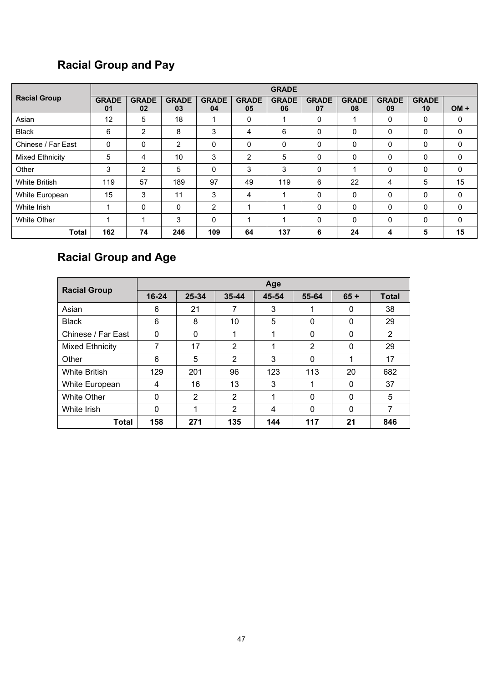### **Racial Group and Pay**

|                        |                         | <b>GRADE</b>       |                    |                    |                    |                    |                    |                    |                    |                    |        |
|------------------------|-------------------------|--------------------|--------------------|--------------------|--------------------|--------------------|--------------------|--------------------|--------------------|--------------------|--------|
| <b>Racial Group</b>    | <b>GRADE</b><br>01      | <b>GRADE</b><br>02 | <b>GRADE</b><br>03 | <b>GRADE</b><br>04 | <b>GRADE</b><br>05 | <b>GRADE</b><br>06 | <b>GRADE</b><br>07 | <b>GRADE</b><br>08 | <b>GRADE</b><br>09 | <b>GRADE</b><br>10 | $OM +$ |
| Asian                  | 12                      | 5                  | 18                 | 1                  | 0                  |                    | 0                  |                    | 0                  | 0                  | 0      |
| <b>Black</b>           | 6                       | 2                  | 8                  | 3                  | 4                  | 6                  | $\Omega$           | 0                  | $\Omega$           | $\mathbf 0$        | 0      |
| Chinese / Far East     | $\Omega$                | $\mathbf{0}$       | 2                  | $\Omega$           | 0                  | $\Omega$           | $\Omega$           | 0                  | 0                  | 0                  | 0      |
| <b>Mixed Ethnicity</b> | 5                       | 4                  | 10                 | 3                  | 2                  | 5                  | $\Omega$           | 0                  | $\Omega$           | $\mathbf{0}$       | 0      |
| Other                  | 3                       | 2                  | 5                  | $\Omega$           | 3                  | 3                  | $\mathbf{0}$       |                    | $\Omega$           | 0                  | 0      |
| <b>White British</b>   | 119                     | 57                 | 189                | 97                 | 49                 | 119                | 6                  | 22                 | 4                  | 5                  | 15     |
| White European         | 15                      | 3                  | 11                 | 3                  | 4                  |                    | $\Omega$           | 0                  | $\Omega$           | $\Omega$           | 0      |
| White Irish            | 4                       | $\mathbf{0}$       | 0                  | 2                  |                    |                    | $\Omega$           | 0                  | $\Omega$           | $\Omega$           | 0      |
| <b>White Other</b>     | $\overline{\mathbf{A}}$ | 1                  | 3                  | $\Omega$           |                    |                    | $\Omega$           | 0                  | $\Omega$           | $\Omega$           | 0      |
| <b>Total</b>           | 162                     | 74                 | 246                | 109                | 64                 | 137                | 6                  | 24                 | 4                  | 5                  | 15     |

### **Racial Group and Age**

| <b>Racial Group</b>  |              |       |                | Age   |          |          |              |
|----------------------|--------------|-------|----------------|-------|----------|----------|--------------|
|                      | $16 - 24$    | 25-34 | $35 - 44$      | 45-54 | 55-64    | $65 +$   | <b>Total</b> |
| Asian                | 6            | 21    | 7              | 3     | 1        | 0        | 38           |
| <b>Black</b>         | 6            | 8     | 10             | 5     | 0        | 0        | 29           |
| Chinese / Far East   | 0            | 0     | 1              | 1     | 0        | 0        | 2            |
| Mixed Ethnicity      | 7            | 17    | $\overline{2}$ | 1     | 2        | 0        | 29           |
| Other                | 6            | 5     | $\overline{2}$ | 3     | 0        | 1        | 17           |
| <b>White British</b> | 129          | 201   | 96             | 123   | 113      | 20       | 682          |
| White European       | 4            | 16    | 13             | 3     | 1        | 0        | 37           |
| White Other          | $\mathbf{0}$ | 2     | $\overline{2}$ | 1     | $\Omega$ | 0        | 5            |
| White Irish          | $\mathbf{0}$ | 1     | 2              | 4     | $\Omega$ | $\Omega$ | 7            |
| Total                | 158          | 271   | 135            | 144   | 117      | 21       | 846          |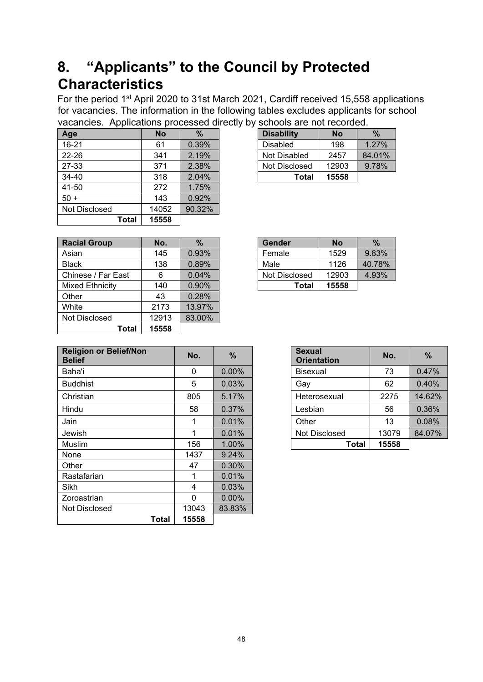## **8. "Applicants" to the Council by Protected Characteristics**

For the period 1st April 2020 to 31st March 2021, Cardiff received 15,558 applications for vacancies. The information in the following tables excludes applicants for school vacancies. Applications processed directly by schools are not recorded.

| . .           |           |        |                   |           |
|---------------|-----------|--------|-------------------|-----------|
| Age           | <b>No</b> | $\%$   | <b>Disability</b> | <b>No</b> |
| $16 - 21$     | 61        | 0.39%  | <b>Disabled</b>   | 198       |
| 22-26         | 341       | 2.19%  | Not Disabled      | 2457      |
| 27-33         | 371       | 2.38%  | Not Disclosed     | 12903     |
| 34-40         | 318       | 2.04%  | <b>Total</b>      | 15558     |
| 41-50         | 272       | 1.75%  |                   |           |
| $50 +$        | 143       | 0.92%  |                   |           |
| Not Disclosed | 14052     | 90.32% |                   |           |
| Total         | 15558     |        |                   |           |

| <b>Disability</b> | No    | %        |
|-------------------|-------|----------|
| Disabled          | 198   | $1.27\%$ |
| Not Disabled      | 2457  | 84.01%   |
| Not Disclosed     | 12903 | 9.78%    |
| Total             | 15558 |          |

| <b>Racial Group</b>    | No.   | $\%$   | <b>Gender</b> | <b>No</b> | $\%$   |
|------------------------|-------|--------|---------------|-----------|--------|
| Asian                  | 145   | 0.93%  | Female        | 1529      | 9.83%  |
| <b>Black</b>           | 138   | 0.89%  | Male          | 1126      | 40.78% |
| Chinese / Far East     | 6     | 0.04%  | Not Disclosed | 12903     | 4.93%  |
| <b>Mixed Ethnicity</b> | 140   | 0.90%  | Total         | 15558     |        |
| Other                  | 43    | 0.28%  |               |           |        |
| White                  | 2173  | 13.97% |               |           |        |
| Not Disclosed          | 12913 | 83.00% |               |           |        |
| Total                  | 15558 |        |               |           |        |

| Gender        | No    | %      |
|---------------|-------|--------|
| Female        | 1529  | 9.83%  |
| Male          | 1126  | 40.78% |
| Not Disclosed | 12903 | 4.93%  |
| Total         | 15558 |        |

| <b>Religion or Belief/Non</b><br><b>Belief</b> | No.      | $\frac{9}{6}$ | <b>Sexual</b><br><b>Orientation</b> | No.   |        |
|------------------------------------------------|----------|---------------|-------------------------------------|-------|--------|
| Baha'i                                         | 0        | 0.00%         | <b>Bisexual</b>                     | 73    | 0.47%  |
| <b>Buddhist</b>                                | 5        | 0.03%         | Gay                                 | 62    | 0.40%  |
| Christian                                      | 805      | 5.17%         | Heterosexual                        | 2275  | 14.62% |
| Hindu                                          | 58       | 0.37%         | Lesbian                             | 56    | 0.36%  |
| Jain                                           | 1        | 0.01%         | Other                               | 13    | 0.08%  |
| Jewish                                         | 1        | 0.01%         | Not Disclosed                       | 13079 | 84.07% |
| Muslim                                         | 156      | 1.00%         | Total                               | 15558 |        |
| None                                           | 1437     | 9.24%         |                                     |       |        |
| Other                                          | 47       | 0.30%         |                                     |       |        |
| Rastafarian                                    | 1        | $0.01\%$      |                                     |       |        |
| Sikh                                           | 4        | 0.03%         |                                     |       |        |
| Zoroastrian                                    | $\Omega$ | $0.00\%$      |                                     |       |        |
| Not Disclosed                                  | 13043    | 83.83%        |                                     |       |        |
| Total                                          | 15558    |               |                                     |       |        |

| <b>Sexual</b><br><b>Orientation</b> | No.   | %      |
|-------------------------------------|-------|--------|
| <b>Bisexual</b>                     | 73    | 0.47%  |
| Gay                                 | 62    | 0.40%  |
| Heterosexual                        | 2275  | 14.62% |
| Lesbian                             | 56    | 0.36%  |
| Other                               | 13    | 0.08%  |
| Not Disclosed                       | 13079 | 84.07% |
| Total                               | 15558 |        |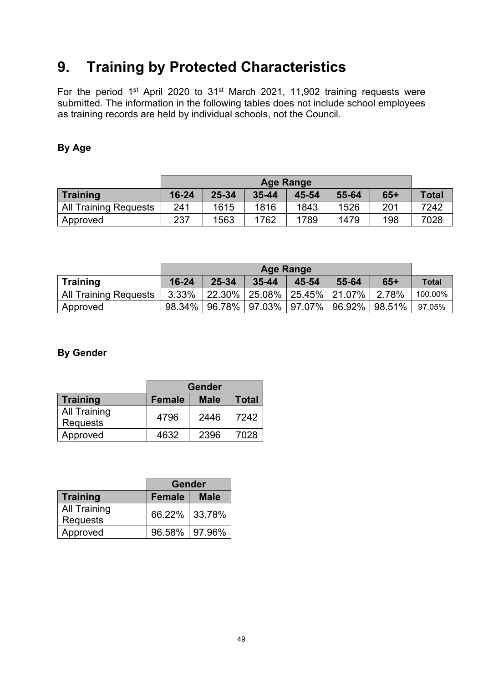## **9. Training by Protected Characteristics**

For the period 1<sup>st</sup> April 2020 to 31<sup>st</sup> March 2021, 11,902 training requests were submitted. The information in the following tables does not include school employees as training records are held by individual schools, not the Council.

#### **By Age**

|                              |           | <b>Age Range</b>                              |      |      |      |     |      |  |  |
|------------------------------|-----------|-----------------------------------------------|------|------|------|-----|------|--|--|
| Training                     | $16 - 24$ | 25-34<br>$65+$<br>55-64<br>$35 - 44$<br>45-54 |      |      |      |     |      |  |  |
| <b>All Training Requests</b> | 241       | 1615                                          | 1816 | 1843 | 1526 | 201 | 7242 |  |  |
| Approved                     | 237       | 1563                                          | 1762 | 1789 | 1479 | 198 | 7028 |  |  |

|                       |           | <b>Age Range</b>                              |                                           |  |  |                                                     |         |  |  |
|-----------------------|-----------|-----------------------------------------------|-------------------------------------------|--|--|-----------------------------------------------------|---------|--|--|
| <b>Training</b>       | $16 - 24$ | 25-34<br>55-64<br>$65+$<br>$35 - 44$<br>45-54 |                                           |  |  |                                                     |         |  |  |
| All Training Requests | $3.33\%$  |                                               | $ 22.30\% 25.08\% 25.45\% 21.07\% 2.78\%$ |  |  |                                                     | 100.00% |  |  |
| Approved              |           |                                               |                                           |  |  | 98.34%   96.78%   97.03%   97.07%   96.92%   98.51% | 97.05%  |  |  |

#### **By Gender**

|                     | <b>Gender</b>                                |      |      |  |  |  |  |
|---------------------|----------------------------------------------|------|------|--|--|--|--|
| <b>Training</b>     | <b>Total</b><br><b>Female</b><br><b>Male</b> |      |      |  |  |  |  |
| <b>All Training</b> | 4796                                         | 2446 | 7242 |  |  |  |  |
| <b>Requests</b>     |                                              |      |      |  |  |  |  |
| Approved            | 4632                                         | 2396 | 7028 |  |  |  |  |

|                                        | <b>Gender</b>   |             |  |  |
|----------------------------------------|-----------------|-------------|--|--|
| Training                               | <b>Female</b>   | <b>Male</b> |  |  |
| <b>All Training</b><br><b>Requests</b> | 66.22% 33.78%   |             |  |  |
| Approved                               | 96.58%   97.96% |             |  |  |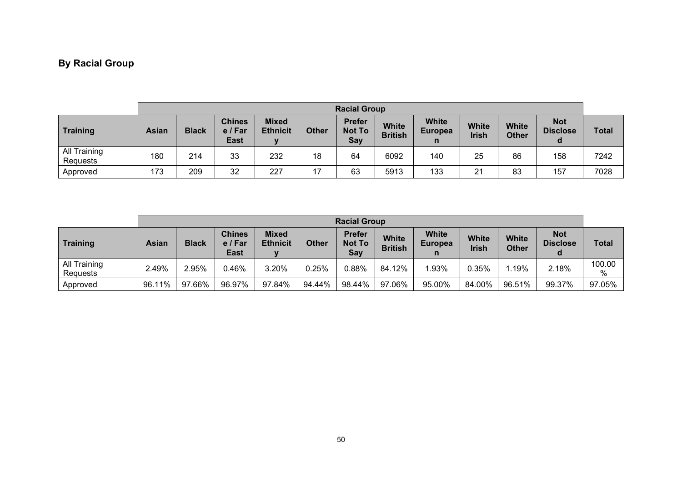### **By Racial Group**

|                          | <b>Racial Group</b> |              |                                         |                                 |              |                                       |                                |                                |                              |                              |                                    |              |
|--------------------------|---------------------|--------------|-----------------------------------------|---------------------------------|--------------|---------------------------------------|--------------------------------|--------------------------------|------------------------------|------------------------------|------------------------------------|--------------|
| Training                 | <b>Asian</b>        | <b>Black</b> | <b>Chines</b><br>e / Far<br><b>East</b> | <b>Mixed</b><br><b>Ethnicit</b> | <b>Other</b> | <b>Prefer</b><br><b>Not To</b><br>Say | <b>White</b><br><b>British</b> | <b>White</b><br><b>Europea</b> | <b>White</b><br><b>Irish</b> | <b>White</b><br><b>Other</b> | <b>Not</b><br><b>Disclose</b><br>a | <b>Total</b> |
| All Training<br>Requests | 180                 | 214          | 33                                      | 232                             | 18           | 64                                    | 6092                           | 140                            | 25                           | 86                           | 158                                | 7242         |
| Approved                 | 173                 | 209          | 32                                      | 227                             | 17           | 63                                    | 5913                           | 133                            | 21                           | 83                           | 157                                | 7028         |

|                          | <b>Racial Group</b> |              |                                |                                 |              |                                |                                |                                |                       |                              |                               |              |
|--------------------------|---------------------|--------------|--------------------------------|---------------------------------|--------------|--------------------------------|--------------------------------|--------------------------------|-----------------------|------------------------------|-------------------------------|--------------|
| Training                 | <b>Asian</b>        | <b>Black</b> | <b>Chines</b><br>e/Far<br>East | <b>Mixed</b><br><b>Ethnicit</b> | <b>Other</b> | <b>Prefer</b><br>Not To<br>Say | <b>White</b><br><b>British</b> | <b>White</b><br><b>Europea</b> | <b>White</b><br>Irish | <b>White</b><br><b>Other</b> | <b>Not</b><br><b>Disclose</b> | <b>Total</b> |
| All Training<br>Requests | 2.49%               | 2.95%        | 0.46%                          | 3.20%                           | 0.25%        | 0.88%                          | 84.12%                         | $1.93\%$                       | 0.35%                 | .19%                         | 2.18%                         | 100.00<br>%  |
| Approved                 | 96.11%              | 97.66%       | 96.97%                         | 97.84%                          | 94.44%       | 98.44%                         | 97.06%                         | 95.00%                         | 84.00%                | 96.51%                       | 99.37%                        | 97.05%       |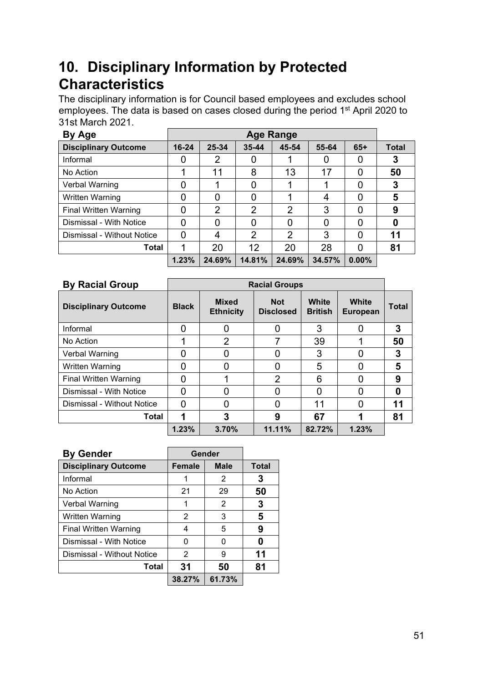## **10. Disciplinary Information by Protected Characteristics**

The disciplinary information is for Council based employees and excludes school employees. The data is based on cases closed during the period 1<sup>st</sup> April 2020 to 31st March 2021.

| By Age                       |           | Age Range |                |                |        |          |              |  |  |  |
|------------------------------|-----------|-----------|----------------|----------------|--------|----------|--------------|--|--|--|
| <b>Disciplinary Outcome</b>  | $16 - 24$ | 25-34     | 35-44          | 45-54          | 55-64  | $65+$    | <b>Total</b> |  |  |  |
| Informal                     | 0         | 2         |                |                | O      |          | 3            |  |  |  |
| No Action                    |           | 11        | 8              | 13             | 17     | O        | 50           |  |  |  |
| Verbal Warning               | 0         |           | 0              |                |        | 0        | 3            |  |  |  |
| Written Warning              | O         |           | 0              |                | 4      |          | 5            |  |  |  |
| <b>Final Written Warning</b> | O         | 2         | 2              | $\overline{2}$ | 3      | O        | 9            |  |  |  |
| Dismissal - With Notice      | 0         |           | 0              | 0              | 0      | 0        | 0            |  |  |  |
| Dismissal - Without Notice   | 0         | 4         | $\overline{2}$ | 2              | 3      |          | 11           |  |  |  |
| Total                        | 1         | 20        | 12             | 20             | 28     | 0        | 81           |  |  |  |
|                              | 1.23%     | 24.69%    | 14.81%         | 24.69%         | 34.57% | $0.00\%$ |              |  |  |  |

| <b>By Racial Group</b>       | <b>Racial Groups</b> |                                  |                                |                         |                                 |              |  |  |  |
|------------------------------|----------------------|----------------------------------|--------------------------------|-------------------------|---------------------------------|--------------|--|--|--|
| <b>Disciplinary Outcome</b>  | <b>Black</b>         | <b>Mixed</b><br><b>Ethnicity</b> | <b>Not</b><br><b>Disclosed</b> | White<br><b>British</b> | <b>White</b><br><b>European</b> | <b>Total</b> |  |  |  |
| Informal                     | 0                    |                                  | 0                              | 3                       | 0                               | 3            |  |  |  |
| No Action                    |                      | 2                                |                                | 39                      |                                 | 50           |  |  |  |
| Verbal Warning               | O                    |                                  |                                | 3                       | O                               | 3            |  |  |  |
| <b>Written Warning</b>       |                      |                                  |                                | 5                       | O                               | 5            |  |  |  |
| <b>Final Written Warning</b> | O                    |                                  | $\overline{2}$                 | 6                       | O                               | 9            |  |  |  |
| Dismissal - With Notice      | O                    |                                  | 0                              | O                       | O                               | 0            |  |  |  |
| Dismissal - Without Notice   | O                    |                                  |                                | 11                      | O                               | 11           |  |  |  |
| Total                        |                      | 3                                | 9                              | 67                      |                                 | 81           |  |  |  |
|                              | 1.23%                | 3.70%                            | 11.11%                         | 82.72%                  | 1.23%                           |              |  |  |  |

| <b>By Gender</b>             |               | Gender      |              |
|------------------------------|---------------|-------------|--------------|
| <b>Disciplinary Outcome</b>  | <b>Female</b> | <b>Male</b> | <b>Total</b> |
| Informal                     |               | 2           | З            |
| No Action                    | 21            | 29          | 50           |
| Verbal Warning               | 1             | 2           | 3            |
| Written Warning              | 2             | 3           | 5            |
| <b>Final Written Warning</b> | 4             | 5           | 9            |
| Dismissal - With Notice      | ŋ             | O           |              |
| Dismissal - Without Notice   | 2             | 9           | 11           |
| Total                        | 31            | 50          | 81           |
|                              | 38.27%        | 61.73%      |              |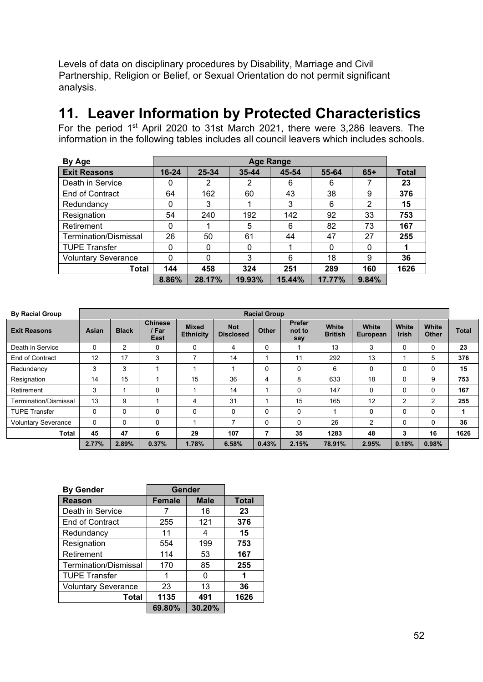Levels of data on disciplinary procedures by Disability, Marriage and Civil Partnership, Religion or Belief, or Sexual Orientation do not permit significant analysis.

### **11. Leaver Information by Protected Characteristics**

For the period 1st April 2020 to 31st March 2021, there were 3,286 leavers. The information in the following tables includes all council leavers which includes schools.

| By Age                     |           | Age Range |        |        |          |          |              |  |  |  |
|----------------------------|-----------|-----------|--------|--------|----------|----------|--------------|--|--|--|
| <b>Exit Reasons</b>        | $16 - 24$ | 25-34     | 35-44  | 45-54  | 55-64    | $65+$    | <b>Total</b> |  |  |  |
| Death in Service           | 0         | 2         | 2      | 6      | 6        |          | 23           |  |  |  |
| End of Contract            | 64        | 162       | 60     | 43     | 38       | 9        | 376          |  |  |  |
| Redundancy                 | 0         | 3         |        | 3      | 6        | 2        | 15           |  |  |  |
| Resignation                | 54        | 240       | 192    | 142    | 92       | 33       | 753          |  |  |  |
| Retirement                 | 0         |           | 5      | 6      | 82       | 73       | 167          |  |  |  |
| Termination/Dismissal      | 26        | 50        | 61     | 44     | 47       | 27       | 255          |  |  |  |
| <b>TUPE Transfer</b>       | 0         | 0         | 0      |        | $\Omega$ | $\Omega$ |              |  |  |  |
| <b>Voluntary Severance</b> | 0         | 0         | 3      | 6      | 18       | 9        | 36           |  |  |  |
| Total                      | 144       | 458       | 324    | 251    | 289      | 160      | 1626         |  |  |  |
|                            | 8.86%     | 28.17%    | 19.93% | 15.44% | 17.77%   | 9.84%    |              |  |  |  |

| <b>By Racial Group</b>     |          | <b>Racial Group</b> |                                 |                                  |                                |              |                                |                         |                   |                       |                |              |
|----------------------------|----------|---------------------|---------------------------------|----------------------------------|--------------------------------|--------------|--------------------------------|-------------------------|-------------------|-----------------------|----------------|--------------|
| <b>Exit Reasons</b>        | Asian    | <b>Black</b>        | <b>Chinese</b><br>/ Far<br>East | <b>Mixed</b><br><b>Ethnicity</b> | <b>Not</b><br><b>Disclosed</b> | <b>Other</b> | <b>Prefer</b><br>not to<br>say | White<br><b>British</b> | White<br>European | White<br><b>Irish</b> | White<br>Other | <b>Total</b> |
| Death in Service           | $\Omega$ | 2                   | $\Omega$                        | $\Omega$                         | 4                              | 0            |                                | 13                      | 3                 | 0                     | 0              | 23           |
| End of Contract            | 12       | 17                  | 3                               | $\overline{\phantom{a}}$         | 14                             |              | 11                             | 292                     | 13                |                       | 5              | 376          |
| Redundancy                 | 3        | 3                   |                                 |                                  |                                | 0            | $\Omega$                       | 6                       | $\mathbf{0}$      | 0                     | 0              | 15           |
| Resignation                | 14       | 15                  |                                 | 15                               | 36                             | 4            | 8                              | 633                     | 18                | 0                     | 9              | 753          |
| Retirement                 | 3        | 1                   | $\Omega$                        |                                  | 14                             |              | 0                              | 147                     | 0                 | 0                     | 0              | 167          |
| Termination/Dismissal      | 13       | 9                   |                                 | 4                                | 31                             |              | 15                             | 165                     | 12                | 2                     | $\overline{2}$ | 255          |
| <b>TUPE Transfer</b>       | $\Omega$ | $\mathbf{0}$        | $\Omega$                        | $\mathbf{0}$                     | $\Omega$                       | 0            | $\Omega$                       |                         | $\mathbf{0}$      | $\Omega$              | $\Omega$       |              |
| <b>Voluntary Severance</b> | $\Omega$ | $\mathbf{0}$        | $\Omega$                        |                                  | 7                              | 0            | $\Omega$                       | 26                      | $\overline{2}$    | $\Omega$              | $\Omega$       | 36           |
| Total                      | 45       | 47                  | 6                               | 29                               | 107                            | 7            | 35                             | 1283                    | 48                | 3                     | 16             | 1626         |
|                            | 2.77%    | 2.89%               | 0.37%                           | 1.78%                            | 6.58%                          | 0.43%        | 2.15%                          | 78.91%                  | 2.95%             | 0.18%                 | 0.98%          |              |

| <b>By Gender</b>             | Gender        |             |              |
|------------------------------|---------------|-------------|--------------|
| <b>Reason</b>                | <b>Female</b> | <b>Male</b> | <b>Total</b> |
| Death in Service             |               | 16          | 23           |
| End of Contract              | 255           | 121         | 376          |
| Redundancy                   | 11            | 4           | 15           |
| Resignation                  | 554           | 199         | 753          |
| Retirement                   | 114           | 53          | 167          |
| <b>Termination/Dismissal</b> | 170           | 85          | 255          |
| <b>TUPE Transfer</b>         |               | O           | 1            |
| <b>Voluntary Severance</b>   | 23            | 13          | 36           |
| Total                        | 1135          | 491         | 1626         |
|                              | 69.80%        | 30.20%      |              |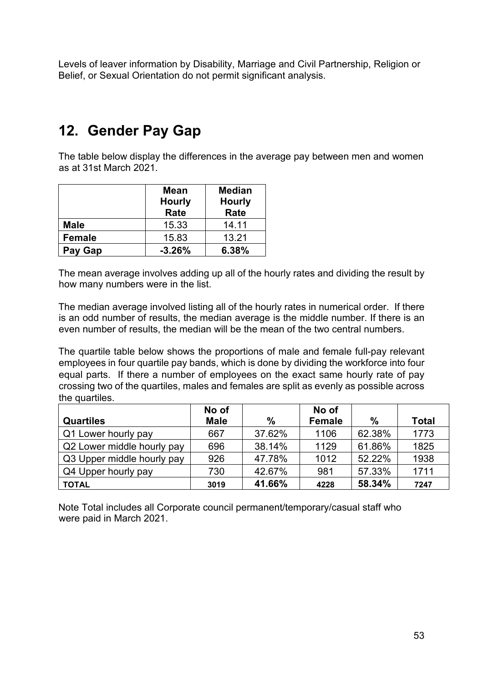Levels of leaver information by Disability, Marriage and Civil Partnership, Religion or Belief, or Sexual Orientation do not permit significant analysis.

## **12. Gender Pay Gap**

The table below display the differences in the average pay between men and women as at 31st March 2021.

|               | <b>Mean</b><br><b>Hourly</b><br><b>Rate</b> | <b>Median</b><br><b>Hourly</b><br>Rate |
|---------------|---------------------------------------------|----------------------------------------|
| <b>Male</b>   | 15.33                                       | 14.11                                  |
| <b>Female</b> | 15.83                                       | 13.21                                  |
| Pay Gap       | $-3.26%$                                    | 6.38%                                  |

The mean average involves adding up all of the hourly rates and dividing the result by how many numbers were in the list.

The median average involved listing all of the hourly rates in numerical order. If there is an odd number of results, the median average is the middle number. If there is an even number of results, the median will be the mean of the two central numbers.

The quartile table below shows the proportions of male and female full-pay relevant employees in four quartile pay bands, which is done by dividing the workforce into four equal parts. If there a number of employees on the exact same hourly rate of pay crossing two of the quartiles, males and females are split as evenly as possible across the quartiles.

|                            | No of       |               | No of         |        |              |
|----------------------------|-------------|---------------|---------------|--------|--------------|
| <b>Quartiles</b>           | <b>Male</b> | $\frac{0}{0}$ | <b>Female</b> | $\%$   | <b>Total</b> |
| Q1 Lower hourly pay        | 667         | 37.62%        | 1106          | 62.38% | 1773         |
| Q2 Lower middle hourly pay | 696         | 38.14%        | 1129          | 61.86% | 1825         |
| Q3 Upper middle hourly pay | 926         | 47.78%        | 1012          | 52.22% | 1938         |
| Q4 Upper hourly pay        | 730         | 42.67%        | 981           | 57.33% | 1711         |
| <b>TOTAL</b>               | 3019        | 41.66%        | 4228          | 58.34% | 7247         |

Note Total includes all Corporate council permanent/temporary/casual staff who were paid in March 2021.